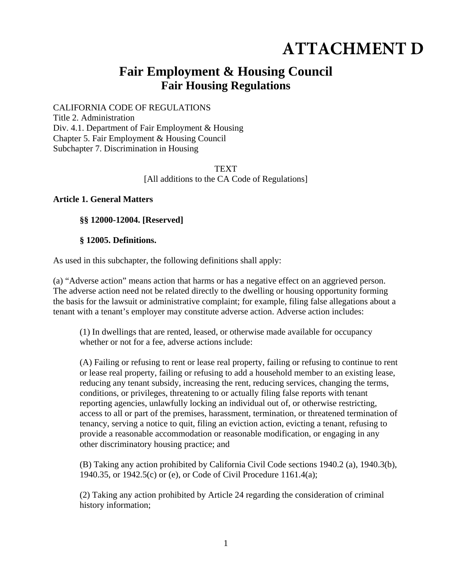# **ATTACHMENT D**

# **Fair Employment & Housing Council Fair Housing Regulations**

CALIFORNIA CODE OF REGULATIONS

Title 2. Administration Div. 4.1. Department of Fair Employment & Housing Chapter 5. Fair Employment & Housing Council Subchapter 7. Discrimination in Housing

> **TEXT** [All additions to the CA Code of Regulations]

#### **Article 1. General Matters**

#### **§§ 12000-12004. [Reserved]**

#### **§ 12005. Definitions.**

As used in this subchapter, the following definitions shall apply:

(a) "Adverse action" means action that harms or has a negative effect on an aggrieved person. The adverse action need not be related directly to the dwelling or housing opportunity forming the basis for the lawsuit or administrative complaint; for example, filing false allegations about a tenant with a tenant's employer may constitute adverse action. Adverse action includes:

(1) In dwellings that are rented, leased, or otherwise made available for occupancy whether or not for a fee, adverse actions include:

(A) Failing or refusing to rent or lease real property, failing or refusing to continue to rent or lease real property, failing or refusing to add a household member to an existing lease, reducing any tenant subsidy, increasing the rent, reducing services, changing the terms, conditions, or privileges, threatening to or actually filing false reports with tenant reporting agencies, unlawfully locking an individual out of, or otherwise restricting, access to all or part of the premises, harassment, termination, or threatened termination of tenancy, serving a notice to quit, filing an eviction action, evicting a tenant, refusing to provide a reasonable accommodation or reasonable modification, or engaging in any other discriminatory housing practice; and

(B) Taking any action prohibited by California Civil Code sections 1940.2 (a), 1940.3(b), 1940.35, or 1942.5(c) or (e), or Code of Civil Procedure 1161.4(a);

(2) Taking any action prohibited by Article 24 regarding the consideration of criminal history information;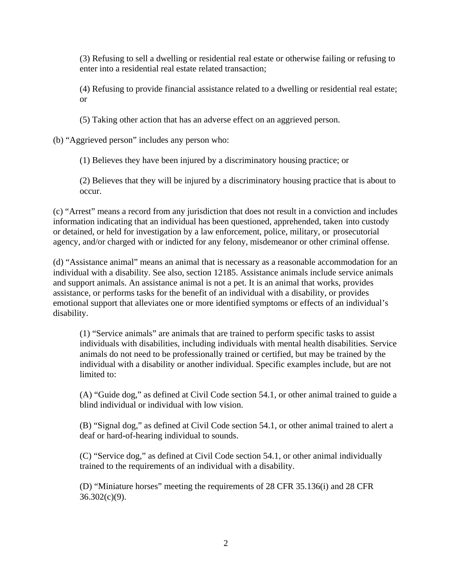(3) Refusing to sell a dwelling or residential real estate or otherwise failing or refusing to enter into a residential real estate related transaction;

(4) Refusing to provide financial assistance related to a dwelling or residential real estate; or

(5) Taking other action that has an adverse effect on an aggrieved person.

(b) "Aggrieved person" includes any person who:

(1) Believes they have been injured by a discriminatory housing practice; or

(2) Believes that they will be injured by a discriminatory housing practice that is about to occur.

(c) "Arrest" means a record from any jurisdiction that does not result in a conviction and includes information indicating that an individual has been questioned, apprehended, taken into custody or detained, or held for investigation by a law enforcement, police, military, or prosecutorial agency, and/or charged with or indicted for any felony, misdemeanor or other criminal offense.

(d) "Assistance animal" means an animal that is necessary as a reasonable accommodation for an individual with a disability. See also, section 12185. Assistance animals include service animals and support animals. An assistance animal is not a pet. It is an animal that works, provides assistance, or performs tasks for the benefit of an individual with a disability, or provides emotional support that alleviates one or more identified symptoms or effects of an individual's disability.

(1) "Service animals" are animals that are trained to perform specific tasks to assist individuals with disabilities, including individuals with mental health disabilities. Service animals do not need to be professionally trained or certified, but may be trained by the individual with a disability or another individual. Specific examples include, but are not limited to:

(A) "Guide dog," as defined at Civil Code section 54.1, or other animal trained to guide a blind individual or individual with low vision.

(B) "Signal dog," as defined at Civil Code section 54.1, or other animal trained to alert a deaf or hard-of-hearing individual to sounds.

(C) "Service dog," as defined at Civil Code section 54.1, or other animal individually trained to the requirements of an individual with a disability.

(D) "Miniature horses" meeting the requirements of 28 CFR 35.136(i) and 28 CFR  $36.302(c)(9)$ .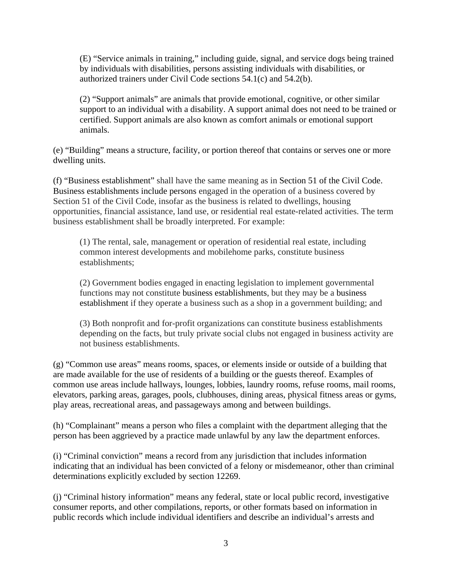(E) "Service animals in training," including guide, signal, and service dogs being trained by individuals with disabilities, persons assisting individuals with disabilities, or authorized trainers under Civil Code sections 54.1(c) and 54.2(b).

(2) "Support animals" are animals that provide emotional, cognitive, or other similar support to an individual with a disability. A support animal does not need to be trained or certified. Support animals are also known as comfort animals or emotional support animals.

(e) "Building" means a structure, facility, or portion thereof that contains or serves one or more dwelling units.

(f) "Business establishment" shall have the same meaning as in Section 51 of the Civil Code. Business establishments include persons engaged in the operation of a business covered by Section 51 of the Civil Code, insofar as the business is related to dwellings, housing opportunities, financial assistance, land use, or residential real estate-related activities. The term business establishment shall be broadly interpreted. For example:

(1) The rental, sale, management or operation of residential real estate, including common interest developments and mobilehome parks, constitute business establishments;

(2) Government bodies engaged in enacting legislation to implement governmental functions may not constitute business establishments, but they may be a business establishment if they operate a business such as a shop in a government building; and

(3) Both nonprofit and for-profit organizations can constitute business establishments depending on the facts, but truly private social clubs not engaged in business activity are not business establishments.

(g) "Common use areas" means rooms, spaces, or elements inside or outside of a building that are made available for the use of residents of a building or the guests thereof. Examples of common use areas include hallways, lounges, lobbies, laundry rooms, refuse rooms, mail rooms, elevators, parking areas, garages, pools, clubhouses, dining areas, physical fitness areas or gyms, play areas, recreational areas, and passageways among and between buildings.

(h) "Complainant" means a person who files a complaint with the department alleging that the person has been aggrieved by a practice made unlawful by any law the department enforces.

(i) "Criminal conviction" means a record from any jurisdiction that includes information indicating that an individual has been convicted of a felony or misdemeanor, other than criminal determinations explicitly excluded by section 12269.

(j) "Criminal history information" means any federal, state or local public record, investigative consumer reports, and other compilations, reports, or other formats based on information in public records which include individual identifiers and describe an individual's arrests and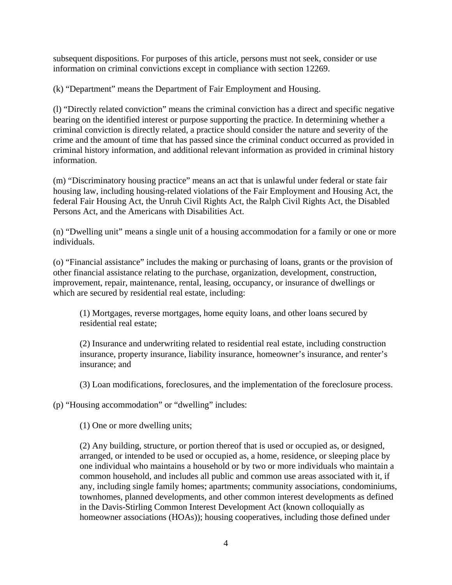subsequent dispositions. For purposes of this article, persons must not seek, consider or use information on criminal convictions except in compliance with section 12269.

(k) "Department" means the Department of Fair Employment and Housing.

(l) "Directly related conviction" means the criminal conviction has a direct and specific negative bearing on the identified interest or purpose supporting the practice. In determining whether a criminal conviction is directly related, a practice should consider the nature and severity of the crime and the amount of time that has passed since the criminal conduct occurred as provided in criminal history information, and additional relevant information as provided in criminal history information.

(m) "Discriminatory housing practice" means an act that is unlawful under federal or state fair housing law, including housing-related violations of the Fair Employment and Housing Act, the federal Fair Housing Act, the Unruh Civil Rights Act, the Ralph Civil Rights Act, the Disabled Persons Act, and the Americans with Disabilities Act.

(n) "Dwelling unit" means a single unit of a housing accommodation for a family or one or more individuals.

(o) "Financial assistance" includes the making or purchasing of loans, grants or the provision of other financial assistance relating to the purchase, organization, development, construction, improvement, repair, maintenance, rental, leasing, occupancy, or insurance of dwellings or which are secured by residential real estate, including:

(1) Mortgages, reverse mortgages, home equity loans, and other loans secured by residential real estate;

(2) Insurance and underwriting related to residential real estate, including construction insurance, property insurance, liability insurance, homeowner's insurance, and renter's insurance; and

(3) Loan modifications, foreclosures, and the implementation of the foreclosure process.

(p) "Housing accommodation" or "dwelling" includes:

(1) One or more dwelling units;

(2) Any building, structure, or portion thereof that is used or occupied as, or designed, arranged, or intended to be used or occupied as, a home, residence, or sleeping place by one individual who maintains a household or by two or more individuals who maintain a common household, and includes all public and common use areas associated with it, if any, including single family homes; apartments; community associations, condominiums, townhomes, planned developments, and other common interest developments as defined in the Davis-Stirling Common Interest Development Act (known colloquially as homeowner associations (HOAs)); housing cooperatives, including those defined under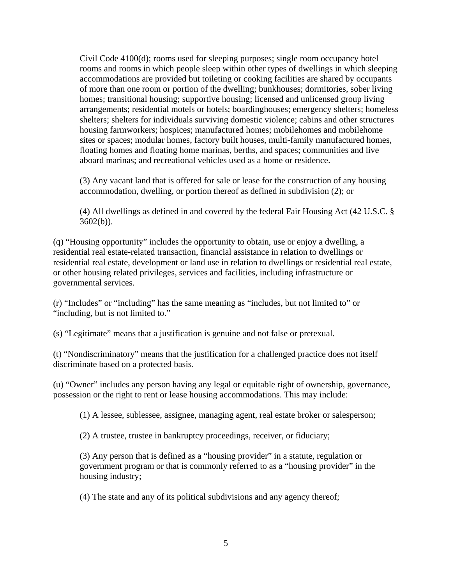Civil Code 4100(d); rooms used for sleeping purposes; single room occupancy hotel rooms and rooms in which people sleep within other types of dwellings in which sleeping accommodations are provided but toileting or cooking facilities are shared by occupants of more than one room or portion of the dwelling; bunkhouses; dormitories, sober living homes; transitional housing; supportive housing; licensed and unlicensed group living arrangements; residential motels or hotels; boardinghouses; emergency shelters; homeless shelters; shelters for individuals surviving domestic violence; cabins and other structures housing farmworkers; hospices; manufactured homes; mobilehomes and mobilehome sites or spaces; modular homes, factory built houses, multi-family manufactured homes, floating homes and floating home marinas, berths, and spaces; communities and live aboard marinas; and recreational vehicles used as a home or residence.

(3) Any vacant land that is offered for sale or lease for the construction of any housing accommodation, dwelling, or portion thereof as defined in subdivision (2); or

(4) All dwellings as defined in and covered by the federal Fair Housing Act (42 U.S.C. §  $3602(b)$ ).

(q) "Housing opportunity" includes the opportunity to obtain, use or enjoy a dwelling, a residential real estate-related transaction, financial assistance in relation to dwellings or residential real estate, development or land use in relation to dwellings or residential real estate, or other housing related privileges, services and facilities, including infrastructure or governmental services.

(r) "Includes" or "including" has the same meaning as "includes, but not limited to" or "including, but is not limited to."

(s) "Legitimate" means that a justification is genuine and not false or pretexual.

(t) "Nondiscriminatory" means that the justification for a challenged practice does not itself discriminate based on a protected basis.

(u) "Owner" includes any person having any legal or equitable right of ownership, governance, possession or the right to rent or lease housing accommodations. This may include:

(1) A lessee, sublessee, assignee, managing agent, real estate broker or salesperson;

(2) A trustee, trustee in bankruptcy proceedings, receiver, or fiduciary;

(3) Any person that is defined as a "housing provider" in a statute, regulation or government program or that is commonly referred to as a "housing provider" in the housing industry;

(4) The state and any of its political subdivisions and any agency thereof;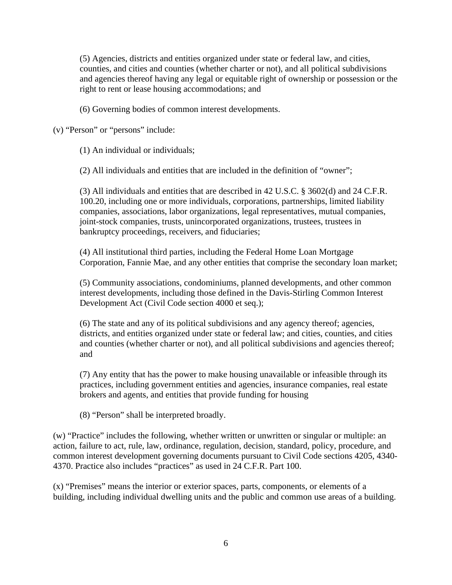(5) Agencies, districts and entities organized under state or federal law, and cities, counties, and cities and counties (whether charter or not), and all political subdivisions and agencies thereof having any legal or equitable right of ownership or possession or the right to rent or lease housing accommodations; and

(6) Governing bodies of common interest developments.

(v) "Person" or "persons" include:

(1) An individual or individuals;

(2) All individuals and entities that are included in the definition of "owner";

(3) All individuals and entities that are described in 42 U.S.C. § 3602(d) and 24 C.F.R. 100.20, including one or more individuals, corporations, partnerships, limited liability companies, associations, labor organizations, legal representatives, mutual companies, joint-stock companies, trusts, unincorporated organizations, trustees, trustees in bankruptcy proceedings, receivers, and fiduciaries;

(4) All institutional third parties, including the Federal Home Loan Mortgage Corporation, Fannie Mae, and any other entities that comprise the secondary loan market;

(5) Community associations, condominiums, planned developments, and other common interest developments, including those defined in the Davis-Stirling Common Interest Development Act (Civil Code section 4000 et seq.);

(6) The state and any of its political subdivisions and any agency thereof; agencies, districts, and entities organized under state or federal law; and cities, counties, and cities and counties (whether charter or not), and all political subdivisions and agencies thereof; and

(7) Any entity that has the power to make housing unavailable or infeasible through its practices, including government entities and agencies, insurance companies, real estate brokers and agents, and entities that provide funding for housing

(8) "Person" shall be interpreted broadly.

(w) "Practice" includes the following, whether written or unwritten or singular or multiple: an action, failure to act, rule, law, ordinance, regulation, decision, standard, policy, procedure, and common interest development governing documents pursuant to Civil Code sections 4205, 4340- 4370. Practice also includes "practices" as used in 24 C.F.R. Part 100.

(x) "Premises" means the interior or exterior spaces, parts, components, or elements of a building, including individual dwelling units and the public and common use areas of a building.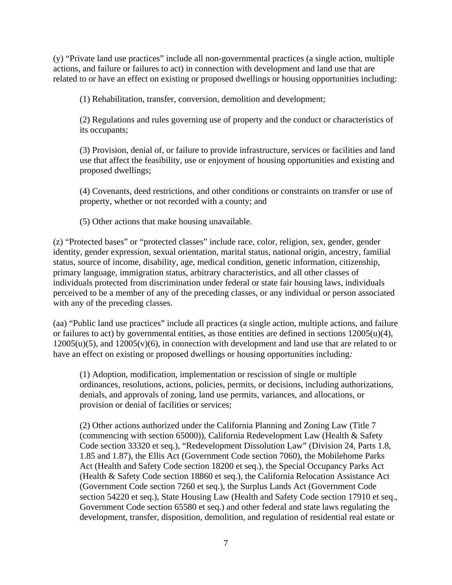(y) "Private land use practices" include all non-governmental practices (a single action, multiple actions, and failure or failures to act) in connection with development and land use that are related to or have an effect on existing or proposed dwellings or housing opportunities including:

(1) Rehabilitation, transfer, conversion, demolition and development;

(2) Regulations and rules governing use of property and the conduct or characteristics of its occupants;

(3) Provision, denial of, or failure to provide infrastructure, services or facilities and land use that affect the feasibility, use or enjoyment of housing opportunities and existing and proposed dwellings;

(4) Covenants, deed restrictions, and other conditions or constraints on transfer or use of property, whether or not recorded with a county; and

(5) Other actions that make housing unavailable.

(z) "Protected bases" or "protected classes" include race, color, religion, sex, gender, gender identity, gender expression, sexual orientation, marital status, national origin, ancestry, familial status, source of income, disability, age, medical condition, genetic information, citizenship, primary language, immigration status, arbitrary characteristics, and all other classes of individuals protected from discrimination under federal or state fair housing laws, individuals perceived to be a member of any of the preceding classes, or any individual or person associated with any of the preceding classes.

(aa) "Public land use practices" include all practices (a single action, multiple actions, and failure or failures to act) by governmental entities, as those entities are defined in sections  $12005(u)(4)$ ,  $12005(u)(5)$ , and  $12005(v)(6)$ , in connection with development and land use that are related to or have an effect on existing or proposed dwellings or housing opportunities including*:*

(1) Adoption, modification, implementation or rescission of single or multiple ordinances, resolutions, actions, policies, permits, or decisions, including authorizations, denials, and approvals of zoning, land use permits, variances, and allocations, or provision or denial of facilities or services;

(2) Other actions authorized under the California Planning and Zoning Law (Title 7 (commencing with section 65000)), California Redevelopment Law (Health & Safety Code section 33320 et seq.), "Redevelopment Dissolution Law" (Division 24, Parts 1.8, 1.85 and 1.87), the Ellis Act (Government Code section 7060), the Mobilehome Parks Act (Health and Safety Code section 18200 et seq.), the Special Occupancy Parks Act (Health & Safety Code section 18860 et seq.), the California Relocation Assistance Act (Government Code section 7260 et seq.), the Surplus Lands Act (Government Code section 54220 et seq.), State Housing Law (Health and Safety Code section 17910 et seq., Government Code section 65580 et seq.) and other federal and state laws regulating the development, transfer, disposition, demolition, and regulation of residential real estate or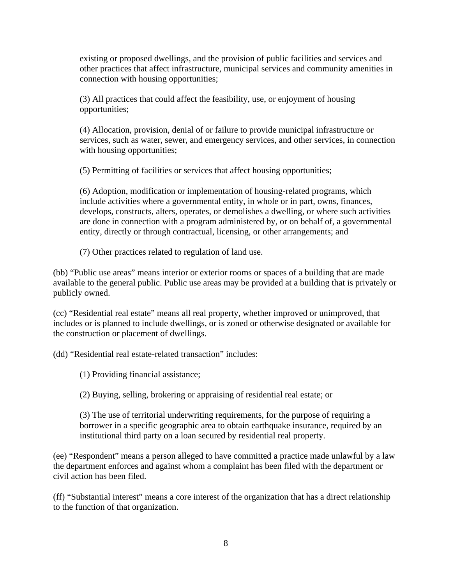existing or proposed dwellings, and the provision of public facilities and services and other practices that affect infrastructure, municipal services and community amenities in connection with housing opportunities;

(3) All practices that could affect the feasibility, use, or enjoyment of housing opportunities;

(4) Allocation, provision, denial of or failure to provide municipal infrastructure or services, such as water, sewer, and emergency services, and other services, in connection with housing opportunities;

(5) Permitting of facilities or services that affect housing opportunities;

(6) Adoption, modification or implementation of housing-related programs, which include activities where a governmental entity, in whole or in part, owns, finances, develops, constructs, alters, operates, or demolishes a dwelling, or where such activities are done in connection with a program administered by, or on behalf of, a governmental entity, directly or through contractual, licensing, or other arrangements; and

(7) Other practices related to regulation of land use.

(bb) "Public use areas" means interior or exterior rooms or spaces of a building that are made available to the general public. Public use areas may be provided at a building that is privately or publicly owned.

(cc) "Residential real estate" means all real property, whether improved or unimproved, that includes or is planned to include dwellings, or is zoned or otherwise designated or available for the construction or placement of dwellings.

(dd) "Residential real estate-related transaction" includes:

(1) Providing financial assistance;

(2) Buying, selling, brokering or appraising of residential real estate; or

(3) The use of territorial underwriting requirements, for the purpose of requiring a borrower in a specific geographic area to obtain earthquake insurance, required by an institutional third party on a loan secured by residential real property.

(ee) "Respondent" means a person alleged to have committed a practice made unlawful by a law the department enforces and against whom a complaint has been filed with the department or civil action has been filed.

(ff) "Substantial interest" means a core interest of the organization that has a direct relationship to the function of that organization.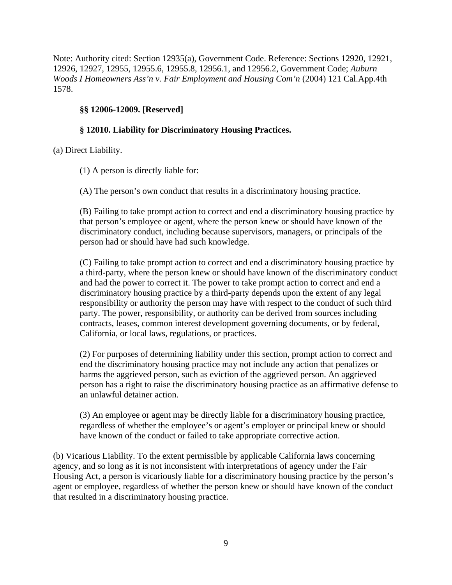Note: Authority cited: Section 12935(a), Government Code. Reference: Sections 12920, 12921, 12926, 12927, 12955, 12955.6, 12955.8, 12956.1, and 12956.2, Government Code; *Auburn Woods I Homeowners Ass'n v. Fair Employment and Housing Com'n* (2004) 121 Cal.App.4th 1578.

#### **§§ 12006-12009. [Reserved]**

#### **§ 12010. Liability for Discriminatory Housing Practices.**

(a) Direct Liability.

(1) A person is directly liable for:

(A) The person's own conduct that results in a discriminatory housing practice.

(B) Failing to take prompt action to correct and end a discriminatory housing practice by that person's employee or agent, where the person knew or should have known of the discriminatory conduct, including because supervisors, managers, or principals of the person had or should have had such knowledge.

(C) Failing to take prompt action to correct and end a discriminatory housing practice by a third-party, where the person knew or should have known of the discriminatory conduct and had the power to correct it. The power to take prompt action to correct and end a discriminatory housing practice by a third-party depends upon the extent of any legal responsibility or authority the person may have with respect to the conduct of such third party. The power, responsibility, or authority can be derived from sources including contracts, leases, common interest development governing documents, or by federal, California, or local laws, regulations, or practices.

(2) For purposes of determining liability under this section, prompt action to correct and end the discriminatory housing practice may not include any action that penalizes or harms the aggrieved person, such as eviction of the aggrieved person. An aggrieved person has a right to raise the discriminatory housing practice as an affirmative defense to an unlawful detainer action.

(3) An employee or agent may be directly liable for a discriminatory housing practice, regardless of whether the employee's or agent's employer or principal knew or should have known of the conduct or failed to take appropriate corrective action.

(b) Vicarious Liability. To the extent permissible by applicable California laws concerning agency, and so long as it is not inconsistent with interpretations of agency under the Fair Housing Act, a person is vicariously liable for a discriminatory housing practice by the person's agent or employee, regardless of whether the person knew or should have known of the conduct that resulted in a discriminatory housing practice.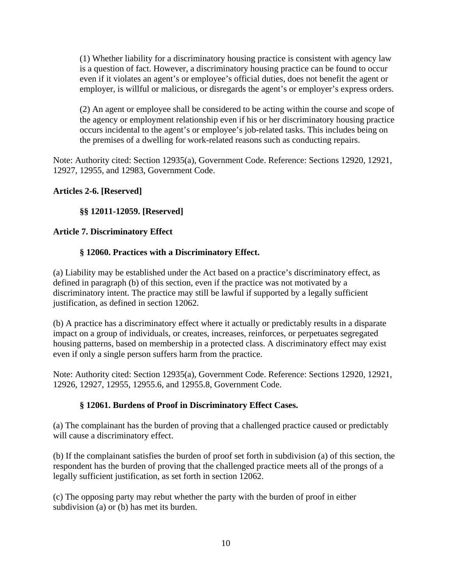(1) Whether liability for a discriminatory housing practice is consistent with agency law is a question of fact. However, a discriminatory housing practice can be found to occur even if it violates an agent's or employee's official duties, does not benefit the agent or employer, is willful or malicious, or disregards the agent's or employer's express orders.

(2) An agent or employee shall be considered to be acting within the course and scope of the agency or employment relationship even if his or her discriminatory housing practice occurs incidental to the agent's or employee's job-related tasks. This includes being on the premises of a dwelling for work-related reasons such as conducting repairs.

Note: Authority cited: Section 12935(a), Government Code. Reference: Sections 12920, 12921, 12927, 12955, and 12983, Government Code.

# **Articles 2-6. [Reserved]**

# **§§ 12011-12059. [Reserved]**

# **Article 7. Discriminatory Effect**

# **§ 12060. Practices with a Discriminatory Effect.**

(a) Liability may be established under the Act based on a practice's discriminatory effect, as defined in paragraph (b) of this section, even if the practice was not motivated by a discriminatory intent. The practice may still be lawful if supported by a legally sufficient justification, as defined in section 12062.

(b) A practice has a discriminatory effect where it actually or predictably results in a disparate impact on a group of individuals, or creates, increases, reinforces, or perpetuates segregated housing patterns, based on membership in a protected class. A discriminatory effect may exist even if only a single person suffers harm from the practice.

Note: Authority cited: Section 12935(a), Government Code. Reference: Sections 12920, 12921, 12926, 12927, 12955, 12955.6, and 12955.8, Government Code.

#### **§ 12061. Burdens of Proof in Discriminatory Effect Cases.**

(a) The complainant has the burden of proving that a challenged practice caused or predictably will cause a discriminatory effect.

(b) If the complainant satisfies the burden of proof set forth in subdivision (a) of this section, the respondent has the burden of proving that the challenged practice meets all of the prongs of a legally sufficient justification, as set forth in section 12062.

(c) The opposing party may rebut whether the party with the burden of proof in either subdivision (a) or (b) has met its burden.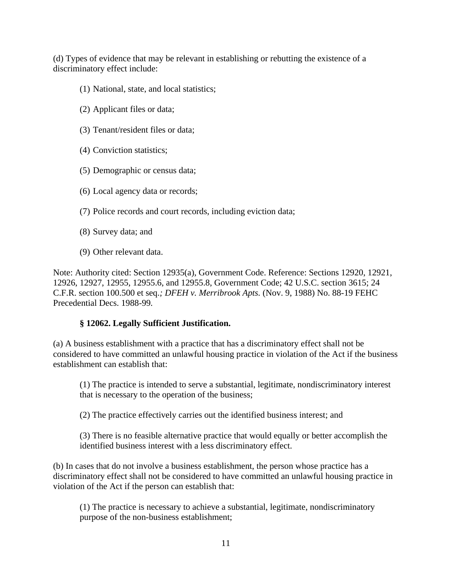(d) Types of evidence that may be relevant in establishing or rebutting the existence of a discriminatory effect include:

- (1) National, state, and local statistics;
- (2) Applicant files or data;
- (3) Tenant/resident files or data;
- (4) Conviction statistics;
- (5) Demographic or census data;
- (6) Local agency data or records;
- (7) Police records and court records, including eviction data;
- (8) Survey data; and
- (9) Other relevant data.

Note: Authority cited: Section 12935(a), Government Code. Reference: Sections 12920, 12921, 12926, 12927, 12955, 12955.6, and 12955.8, Government Code; 42 U.S.C. section 3615; 24 C.F.R. section 100.500 et seq.*; DFEH v. Merribrook Apts.* (Nov. 9, 1988) No. 88-19 FEHC Precedential Decs. 1988-99*.*

#### **§ 12062. Legally Sufficient Justification.**

(a) A business establishment with a practice that has a discriminatory effect shall not be considered to have committed an unlawful housing practice in violation of the Act if the business establishment can establish that:

(1) The practice is intended to serve a substantial, legitimate, nondiscriminatory interest that is necessary to the operation of the business;

(2) The practice effectively carries out the identified business interest; and

(3) There is no feasible alternative practice that would equally or better accomplish the identified business interest with a less discriminatory effect.

(b) In cases that do not involve a business establishment, the person whose practice has a discriminatory effect shall not be considered to have committed an unlawful housing practice in violation of the Act if the person can establish that:

(1) The practice is necessary to achieve a substantial, legitimate, nondiscriminatory purpose of the non-business establishment;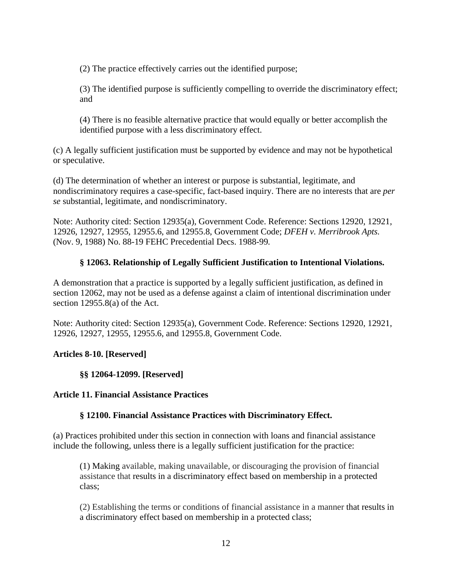(2) The practice effectively carries out the identified purpose;

(3) The identified purpose is sufficiently compelling to override the discriminatory effect; and

(4) There is no feasible alternative practice that would equally or better accomplish the identified purpose with a less discriminatory effect.

(c) A legally sufficient justification must be supported by evidence and may not be hypothetical or speculative.

(d) The determination of whether an interest or purpose is substantial, legitimate, and nondiscriminatory requires a case-specific, fact-based inquiry. There are no interests that are *per se* substantial, legitimate, and nondiscriminatory.

Note: Authority cited: Section 12935(a), Government Code. Reference: Sections 12920, 12921, 12926, 12927, 12955, 12955.6, and 12955.8, Government Code; *DFEH v. Merribrook Apts.*  (Nov. 9, 1988) No. 88-19 FEHC Precedential Decs. 1988-99*.*

#### **§ 12063. Relationship of Legally Sufficient Justification to Intentional Violations.**

A demonstration that a practice is supported by a legally sufficient justification, as defined in section 12062, may not be used as a defense against a claim of intentional discrimination under section 12955.8(a) of the Act.

Note: Authority cited: Section 12935(a), Government Code. Reference: Sections 12920, 12921, 12926, 12927, 12955, 12955.6, and 12955.8, Government Code.

#### **Articles 8-10. [Reserved]**

**§§ 12064-12099. [Reserved]** 

#### **Article 11. Financial Assistance Practices**

#### **§ 12100. Financial Assistance Practices with Discriminatory Effect.**

(a) Practices prohibited under this section in connection with loans and financial assistance include the following, unless there is a legally sufficient justification for the practice:

(1) Making available, making unavailable, or discouraging the provision of financial assistance that results in a discriminatory effect based on membership in a protected class;

(2) Establishing the terms or conditions of financial assistance in a manner that results in a discriminatory effect based on membership in a protected class;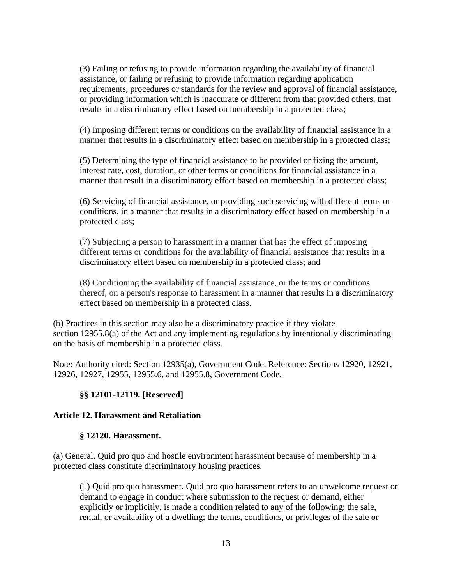(3) Failing or refusing to provide information regarding the availability of financial assistance, or failing or refusing to provide information regarding application requirements, procedures or standards for the review and approval of financial assistance, or providing information which is inaccurate or different from that provided others, that results in a discriminatory effect based on membership in a protected class;

(4) Imposing different terms or conditions on the availability of financial assistance in a manner that results in a discriminatory effect based on membership in a protected class;

(5) Determining the type of financial assistance to be provided or fixing the amount, interest rate, cost, duration, or other terms or conditions for financial assistance in a manner that result in a discriminatory effect based on membership in a protected class;

(6) Servicing of financial assistance, or providing such servicing with different terms or conditions, in a manner that results in a discriminatory effect based on membership in a protected class;

(7) Subjecting a person to harassment in a manner that has the effect of imposing different terms or conditions for the availability of financial assistance that results in a discriminatory effect based on membership in a protected class; and

(8) Conditioning the availability of financial assistance, or the terms or conditions thereof, on a person's response to harassment in a manner that results in a discriminatory effect based on membership in a protected class.

(b) Practices in this section may also be a discriminatory practice if they violate section 12955.8(a) of the Act and any implementing regulations by intentionally discriminating on the basis of membership in a protected class.

Note: Authority cited: Section 12935(a), Government Code. Reference: Sections 12920, 12921, 12926, 12927, 12955, 12955.6, and 12955.8, Government Code.

#### **§§ 12101-12119. [Reserved]**

#### **Article 12. Harassment and Retaliation**

#### **§ 12120. Harassment.**

(a) General. Quid pro quo and hostile environment harassment because of membership in a protected class constitute discriminatory housing practices.

(1) Quid pro quo harassment. Quid pro quo harassment refers to an unwelcome request or demand to engage in conduct where submission to the request or demand, either explicitly or implicitly, is made a condition related to any of the following: the sale, rental, or availability of a dwelling; the terms, conditions, or privileges of the sale or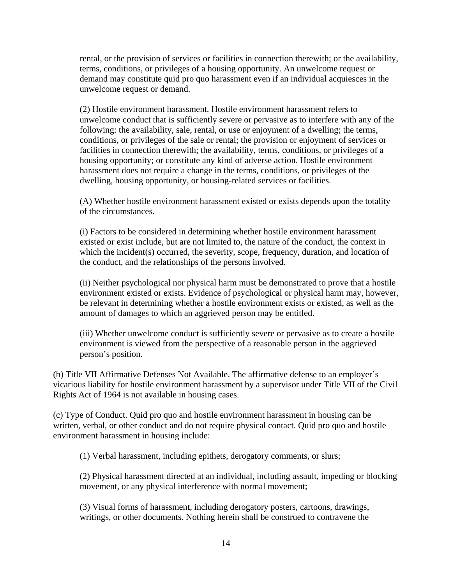rental, or the provision of services or facilities in connection therewith; or the availability, terms, conditions, or privileges of a housing opportunity. An unwelcome request or demand may constitute quid pro quo harassment even if an individual acquiesces in the unwelcome request or demand.

(2) Hostile environment harassment. Hostile environment harassment refers to unwelcome conduct that is sufficiently severe or pervasive as to interfere with any of the following: the availability, sale, rental, or use or enjoyment of a dwelling; the terms, conditions, or privileges of the sale or rental; the provision or enjoyment of services or facilities in connection therewith; the availability, terms, conditions, or privileges of a housing opportunity; or constitute any kind of adverse action. Hostile environment harassment does not require a change in the terms, conditions, or privileges of the dwelling, housing opportunity, or housing-related services or facilities.

(A) Whether hostile environment harassment existed or exists depends upon the totality of the circumstances.

(i) Factors to be considered in determining whether hostile environment harassment existed or exist include, but are not limited to, the nature of the conduct, the context in which the incident(s) occurred, the severity, scope, frequency, duration, and location of the conduct, and the relationships of the persons involved.

(ii) Neither psychological nor physical harm must be demonstrated to prove that a hostile environment existed or exists. Evidence of psychological or physical harm may, however, be relevant in determining whether a hostile environment exists or existed, as well as the amount of damages to which an aggrieved person may be entitled.

(iii) Whether unwelcome conduct is sufficiently severe or pervasive as to create a hostile environment is viewed from the perspective of a reasonable person in the aggrieved person's position.

(b) Title VII Affirmative Defenses Not Available. The affirmative defense to an employer's vicarious liability for hostile environment harassment by a supervisor under Title VII of the Civil Rights Act of 1964 is not available in housing cases.

(c) Type of Conduct. Quid pro quo and hostile environment harassment in housing can be written, verbal, or other conduct and do not require physical contact. Quid pro quo and hostile environment harassment in housing include:

(1) Verbal harassment, including epithets, derogatory comments, or slurs;

(2) Physical harassment directed at an individual, including assault, impeding or blocking movement, or any physical interference with normal movement;

(3) Visual forms of harassment, including derogatory posters, cartoons, drawings, writings, or other documents. Nothing herein shall be construed to contravene the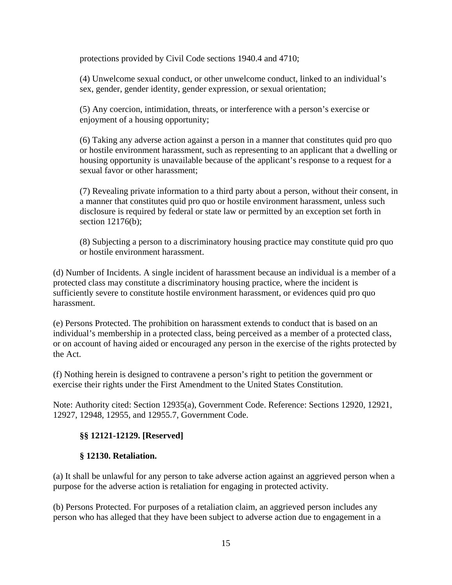protections provided by Civil Code sections 1940.4 and 4710;

(4) Unwelcome sexual conduct, or other unwelcome conduct, linked to an individual's sex, gender, gender identity, gender expression, or sexual orientation;

(5) Any coercion, intimidation, threats, or interference with a person's exercise or enjoyment of a housing opportunity;

(6) Taking any adverse action against a person in a manner that constitutes quid pro quo or hostile environment harassment, such as representing to an applicant that a dwelling or housing opportunity is unavailable because of the applicant's response to a request for a sexual favor or other harassment;

(7) Revealing private information to a third party about a person, without their consent, in a manner that constitutes quid pro quo or hostile environment harassment, unless such disclosure is required by federal or state law or permitted by an exception set forth in section 12176(b);

(8) Subjecting a person to a discriminatory housing practice may constitute quid pro quo or hostile environment harassment.

(d) Number of Incidents. A single incident of harassment because an individual is a member of a protected class may constitute a discriminatory housing practice, where the incident is sufficiently severe to constitute hostile environment harassment, or evidences quid pro quo harassment.

(e) Persons Protected. The prohibition on harassment extends to conduct that is based on an individual's membership in a protected class, being perceived as a member of a protected class, or on account of having aided or encouraged any person in the exercise of the rights protected by the Act.

(f) Nothing herein is designed to contravene a person's right to petition the government or exercise their rights under the First Amendment to the United States Constitution.

Note: Authority cited: Section 12935(a), Government Code. Reference: Sections 12920, 12921, 12927, 12948, 12955, and 12955.7, Government Code.

#### **§§ 12121-12129. [Reserved]**

#### **§ 12130. Retaliation.**

(a) It shall be unlawful for any person to take adverse action against an aggrieved person when a purpose for the adverse action is retaliation for engaging in protected activity.

(b) Persons Protected. For purposes of a retaliation claim, an aggrieved person includes any person who has alleged that they have been subject to adverse action due to engagement in a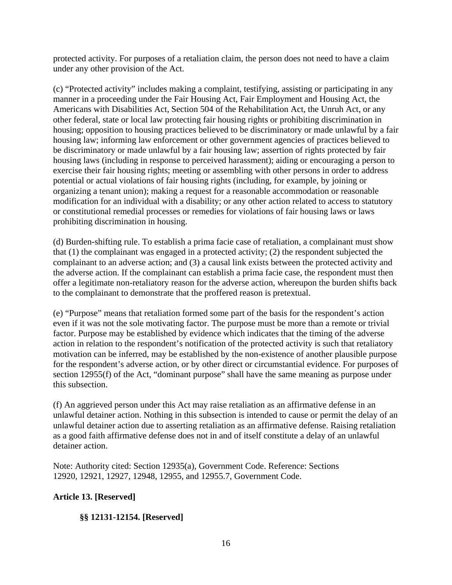protected activity. For purposes of a retaliation claim, the person does not need to have a claim under any other provision of the Act.

(c) "Protected activity" includes making a complaint, testifying, assisting or participating in any manner in a proceeding under the Fair Housing Act, Fair Employment and Housing Act, the Americans with Disabilities Act, Section 504 of the Rehabilitation Act, the Unruh Act, or any other federal, state or local law protecting fair housing rights or prohibiting discrimination in housing; opposition to housing practices believed to be discriminatory or made unlawful by a fair housing law; informing law enforcement or other government agencies of practices believed to be discriminatory or made unlawful by a fair housing law; assertion of rights protected by fair housing laws (including in response to perceived harassment); aiding or encouraging a person to exercise their fair housing rights; meeting or assembling with other persons in order to address potential or actual violations of fair housing rights (including, for example, by joining or organizing a tenant union); making a request for a reasonable accommodation or reasonable modification for an individual with a disability; or any other action related to access to statutory or constitutional remedial processes or remedies for violations of fair housing laws or laws prohibiting discrimination in housing.

(d) Burden-shifting rule. To establish a prima facie case of retaliation, a complainant must show that (1) the complainant was engaged in a protected activity; (2) the respondent subjected the complainant to an adverse action; and (3) a causal link exists between the protected activity and the adverse action. If the complainant can establish a prima facie case, the respondent must then offer a legitimate non-retaliatory reason for the adverse action, whereupon the burden shifts back to the complainant to demonstrate that the proffered reason is pretextual.

(e) "Purpose" means that retaliation formed some part of the basis for the respondent's action even if it was not the sole motivating factor. The purpose must be more than a remote or trivial factor. Purpose may be established by evidence which indicates that the timing of the adverse action in relation to the respondent's notification of the protected activity is such that retaliatory motivation can be inferred, may be established by the non-existence of another plausible purpose for the respondent's adverse action, or by other direct or circumstantial evidence. For purposes of section 12955(f) of the Act, "dominant purpose" shall have the same meaning as purpose under this subsection.

(f) An aggrieved person under this Act may raise retaliation as an affirmative defense in an unlawful detainer action. Nothing in this subsection is intended to cause or permit the delay of an unlawful detainer action due to asserting retaliation as an affirmative defense. Raising retaliation as a good faith affirmative defense does not in and of itself constitute a delay of an unlawful detainer action.

Note: Authority cited: Section 12935(a), Government Code. Reference: Sections 12920, 12921, 12927, 12948, 12955, and 12955.7, Government Code.

# **Article 13. [Reserved]**

#### **§§ 12131-12154. [Reserved]**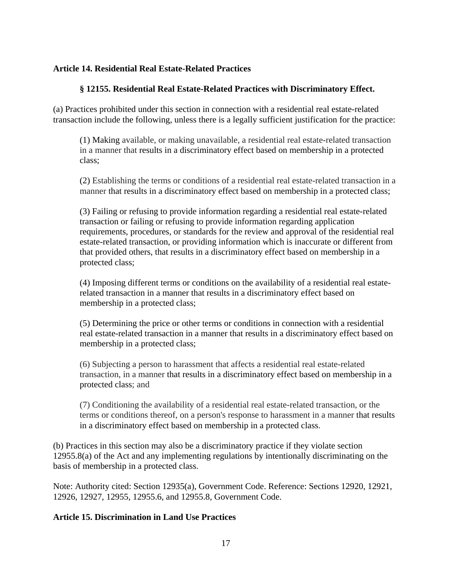#### **Article 14. Residential Real Estate-Related Practices**

#### **§ 12155. Residential Real Estate-Related Practices with Discriminatory Effect.**

(a) Practices prohibited under this section in connection with a residential real estate-related transaction include the following, unless there is a legally sufficient justification for the practice:

(1) Making available, or making unavailable, a residential real estate-related transaction in a manner that results in a discriminatory effect based on membership in a protected class;

(2) Establishing the terms or conditions of a residential real estate-related transaction in a manner that results in a discriminatory effect based on membership in a protected class;

(3) Failing or refusing to provide information regarding a residential real estate-related transaction or failing or refusing to provide information regarding application requirements, procedures, or standards for the review and approval of the residential real estate-related transaction, or providing information which is inaccurate or different from that provided others, that results in a discriminatory effect based on membership in a protected class;

(4) Imposing different terms or conditions on the availability of a residential real estaterelated transaction in a manner that results in a discriminatory effect based on membership in a protected class;

(5) Determining the price or other terms or conditions in connection with a residential real estate-related transaction in a manner that results in a discriminatory effect based on membership in a protected class;

(6) Subjecting a person to harassment that affects a residential real estate-related transaction, in a manner that results in a discriminatory effect based on membership in a protected class; and

(7) Conditioning the availability of a residential real estate-related transaction, or the terms or conditions thereof, on a person's response to harassment in a manner that results in a discriminatory effect based on membership in a protected class.

(b) Practices in this section may also be a discriminatory practice if they violate section 12955.8(a) of the Act and any implementing regulations by intentionally discriminating on the basis of membership in a protected class.

Note: Authority cited: Section 12935(a), Government Code. Reference: Sections 12920, 12921, 12926, 12927, 12955, 12955.6, and 12955.8, Government Code.

#### **Article 15. Discrimination in Land Use Practices**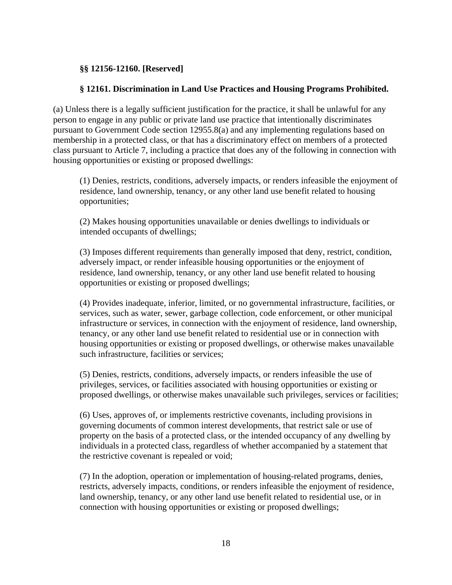#### **§§ 12156-12160. [Reserved]**

#### **§ 12161. Discrimination in Land Use Practices and Housing Programs Prohibited.**

(a) Unless there is a legally sufficient justification for the practice, it shall be unlawful for any person to engage in any public or private land use practice that intentionally discriminates pursuant to Government Code section 12955.8(a) and any implementing regulations based on membership in a protected class, or that has a discriminatory effect on members of a protected class pursuant to Article 7, including a practice that does any of the following in connection with housing opportunities or existing or proposed dwellings:

(1) Denies, restricts, conditions, adversely impacts, or renders infeasible the enjoyment of residence, land ownership, tenancy, or any other land use benefit related to housing opportunities;

(2) Makes housing opportunities unavailable or denies dwellings to individuals or intended occupants of dwellings;

(3) Imposes different requirements than generally imposed that deny, restrict, condition, adversely impact, or render infeasible housing opportunities or the enjoyment of residence, land ownership, tenancy, or any other land use benefit related to housing opportunities or existing or proposed dwellings;

(4) Provides inadequate, inferior, limited, or no governmental infrastructure, facilities, or services, such as water, sewer, garbage collection, code enforcement, or other municipal infrastructure or services, in connection with the enjoyment of residence, land ownership, tenancy, or any other land use benefit related to residential use or in connection with housing opportunities or existing or proposed dwellings, or otherwise makes unavailable such infrastructure, facilities or services;

(5) Denies, restricts, conditions, adversely impacts, or renders infeasible the use of privileges, services, or facilities associated with housing opportunities or existing or proposed dwellings, or otherwise makes unavailable such privileges, services or facilities;

(6) Uses, approves of, or implements restrictive covenants, including provisions in governing documents of common interest developments, that restrict sale or use of property on the basis of a protected class, or the intended occupancy of any dwelling by individuals in a protected class, regardless of whether accompanied by a statement that the restrictive covenant is repealed or void;

(7) In the adoption, operation or implementation of housing-related programs, denies, restricts, adversely impacts, conditions, or renders infeasible the enjoyment of residence, land ownership, tenancy, or any other land use benefit related to residential use, or in connection with housing opportunities or existing or proposed dwellings;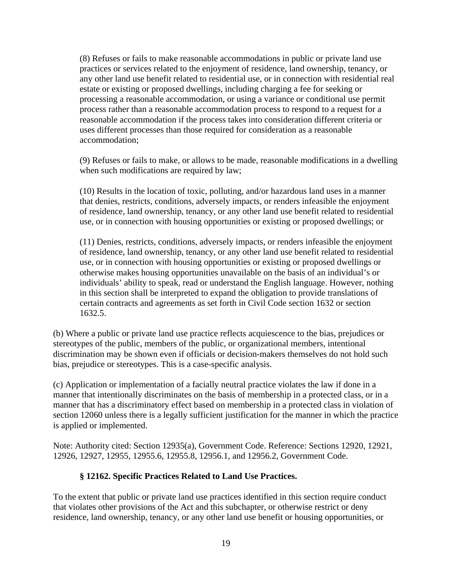(8) Refuses or fails to make reasonable accommodations in public or private land use practices or services related to the enjoyment of residence, land ownership, tenancy, or any other land use benefit related to residential use, or in connection with residential real estate or existing or proposed dwellings, including charging a fee for seeking or processing a reasonable accommodation, or using a variance or conditional use permit process rather than a reasonable accommodation process to respond to a request for a reasonable accommodation if the process takes into consideration different criteria or uses different processes than those required for consideration as a reasonable accommodation;

(9) Refuses or fails to make, or allows to be made, reasonable modifications in a dwelling when such modifications are required by law;

(10) Results in the location of toxic, polluting, and/or hazardous land uses in a manner that denies, restricts, conditions, adversely impacts, or renders infeasible the enjoyment of residence, land ownership, tenancy, or any other land use benefit related to residential use, or in connection with housing opportunities or existing or proposed dwellings; or

(11) Denies, restricts, conditions, adversely impacts, or renders infeasible the enjoyment of residence, land ownership, tenancy, or any other land use benefit related to residential use, or in connection with housing opportunities or existing or proposed dwellings or otherwise makes housing opportunities unavailable on the basis of an individual's or individuals' ability to speak, read or understand the English language. However, nothing in this section shall be interpreted to expand the obligation to provide translations of certain contracts and agreements as set forth in Civil Code section 1632 or section 1632.5.

(b) Where a public or private land use practice reflects acquiescence to the bias, prejudices or stereotypes of the public, members of the public, or organizational members, intentional discrimination may be shown even if officials or decision-makers themselves do not hold such bias, prejudice or stereotypes. This is a case-specific analysis.

(c) Application or implementation of a facially neutral practice violates the law if done in a manner that intentionally discriminates on the basis of membership in a protected class, or in a manner that has a discriminatory effect based on membership in a protected class in violation of section 12060 unless there is a legally sufficient justification for the manner in which the practice is applied or implemented.

Note: Authority cited: Section 12935(a), Government Code. Reference: Sections 12920, 12921, 12926, 12927, 12955, 12955.6, 12955.8, 12956.1, and 12956.2, Government Code.

#### **§ 12162. Specific Practices Related to Land Use Practices.**

To the extent that public or private land use practices identified in this section require conduct that violates other provisions of the Act and this subchapter, or otherwise restrict or deny residence, land ownership, tenancy, or any other land use benefit or housing opportunities, or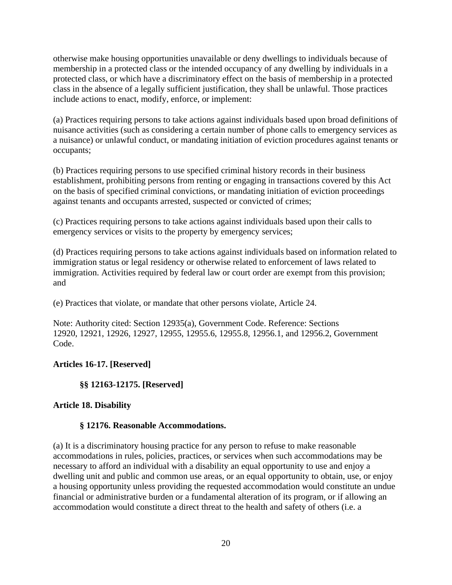otherwise make housing opportunities unavailable or deny dwellings to individuals because of membership in a protected class or the intended occupancy of any dwelling by individuals in a protected class, or which have a discriminatory effect on the basis of membership in a protected class in the absence of a legally sufficient justification, they shall be unlawful. Those practices include actions to enact, modify, enforce, or implement:

(a) Practices requiring persons to take actions against individuals based upon broad definitions of nuisance activities (such as considering a certain number of phone calls to emergency services as a nuisance) or unlawful conduct, or mandating initiation of eviction procedures against tenants or occupants;

(b) Practices requiring persons to use specified criminal history records in their business establishment, prohibiting persons from renting or engaging in transactions covered by this Act on the basis of specified criminal convictions, or mandating initiation of eviction proceedings against tenants and occupants arrested, suspected or convicted of crimes;

(c) Practices requiring persons to take actions against individuals based upon their calls to emergency services or visits to the property by emergency services;

(d) Practices requiring persons to take actions against individuals based on information related to immigration status or legal residency or otherwise related to enforcement of laws related to immigration. Activities required by federal law or court order are exempt from this provision; and

(e) Practices that violate, or mandate that other persons violate, Article 24.

Note: Authority cited: Section 12935(a), Government Code. Reference: Sections 12920, 12921, 12926, 12927, 12955, 12955.6, 12955.8, 12956.1, and 12956.2, Government Code.

#### **Articles 16-17. [Reserved]**

# **§§ 12163-12175. [Reserved]**

#### **Article 18. Disability**

#### **§ 12176. Reasonable Accommodations.**

(a) It is a discriminatory housing practice for any person to refuse to make reasonable accommodations in rules, policies, practices, or services when such accommodations may be necessary to afford an individual with a disability an equal opportunity to use and enjoy a dwelling unit and public and common use areas, or an equal opportunity to obtain, use, or enjoy a housing opportunity unless providing the requested accommodation would constitute an undue financial or administrative burden or a fundamental alteration of its program, or if allowing an accommodation would constitute a direct threat to the health and safety of others (i.e. a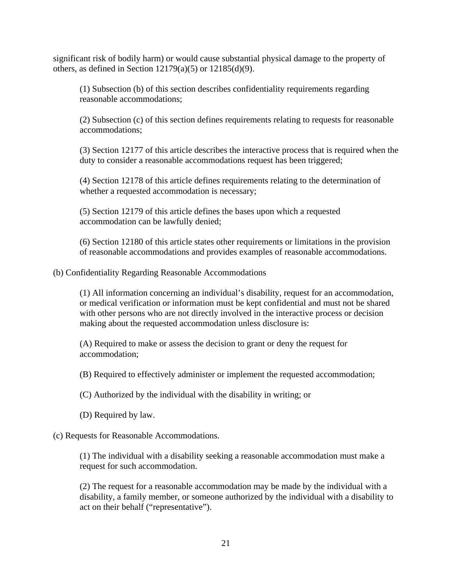significant risk of bodily harm) or would cause substantial physical damage to the property of others, as defined in Section  $12179(a)(5)$  or  $12185(d)(9)$ .

(1) Subsection (b) of this section describes confidentiality requirements regarding reasonable accommodations;

(2) Subsection (c) of this section defines requirements relating to requests for reasonable accommodations;

(3) Section 12177 of this article describes the interactive process that is required when the duty to consider a reasonable accommodations request has been triggered;

(4) Section 12178 of this article defines requirements relating to the determination of whether a requested accommodation is necessary;

(5) Section 12179 of this article defines the bases upon which a requested accommodation can be lawfully denied;

(6) Section 12180 of this article states other requirements or limitations in the provision of reasonable accommodations and provides examples of reasonable accommodations.

#### (b) Confidentiality Regarding Reasonable Accommodations

(1) All information concerning an individual's disability, request for an accommodation, or medical verification or information must be kept confidential and must not be shared with other persons who are not directly involved in the interactive process or decision making about the requested accommodation unless disclosure is:

(A) Required to make or assess the decision to grant or deny the request for accommodation;

(B) Required to effectively administer or implement the requested accommodation;

(C) Authorized by the individual with the disability in writing; or

(D) Required by law.

(c) Requests for Reasonable Accommodations.

(1) The individual with a disability seeking a reasonable accommodation must make a request for such accommodation.

(2) The request for a reasonable accommodation may be made by the individual with a disability, a family member, or someone authorized by the individual with a disability to act on their behalf ("representative").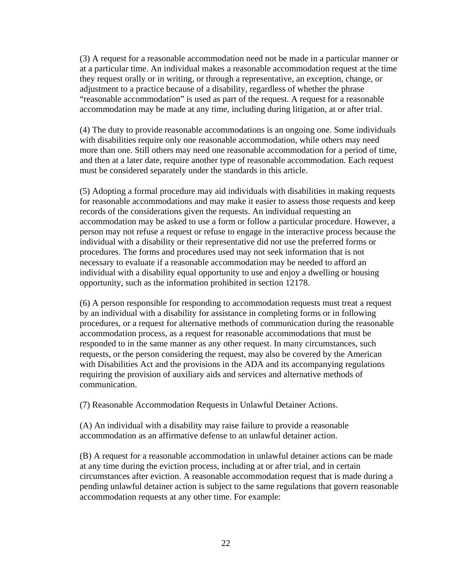(3) A request for a reasonable accommodation need not be made in a particular manner or at a particular time. An individual makes a reasonable accommodation request at the time they request orally or in writing, or through a representative, an exception, change, or adjustment to a practice because of a disability, regardless of whether the phrase "reasonable accommodation" is used as part of the request. A request for a reasonable accommodation may be made at any time, including during litigation, at or after trial.

(4) The duty to provide reasonable accommodations is an ongoing one. Some individuals with disabilities require only one reasonable accommodation, while others may need more than one. Still others may need one reasonable accommodation for a period of time, and then at a later date, require another type of reasonable accommodation. Each request must be considered separately under the standards in this article.

(5) Adopting a formal procedure may aid individuals with disabilities in making requests for reasonable accommodations and may make it easier to assess those requests and keep records of the considerations given the requests. An individual requesting an accommodation may be asked to use a form or follow a particular procedure. However, a person may not refuse a request or refuse to engage in the interactive process because the individual with a disability or their representative did not use the preferred forms or procedures. The forms and procedures used may not seek information that is not necessary to evaluate if a reasonable accommodation may be needed to afford an individual with a disability equal opportunity to use and enjoy a dwelling or housing opportunity, such as the information prohibited in section 12178.

(6) A person responsible for responding to accommodation requests must treat a request by an individual with a disability for assistance in completing forms or in following procedures, or a request for alternative methods of communication during the reasonable accommodation process, as a request for reasonable accommodations that must be responded to in the same manner as any other request. In many circumstances, such requests, or the person considering the request, may also be covered by the American with Disabilities Act and the provisions in the ADA and its accompanying regulations requiring the provision of auxiliary aids and services and alternative methods of communication.

(7) Reasonable Accommodation Requests in Unlawful Detainer Actions.

(A) An individual with a disability may raise failure to provide a reasonable accommodation as an affirmative defense to an unlawful detainer action.

(B) A request for a reasonable accommodation in unlawful detainer actions can be made at any time during the eviction process, including at or after trial, and in certain circumstances after eviction. A reasonable accommodation request that is made during a pending unlawful detainer action is subject to the same regulations that govern reasonable accommodation requests at any other time. For example: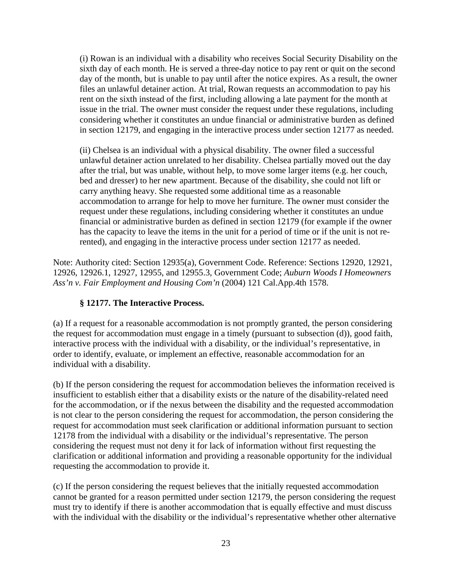(i) Rowan is an individual with a disability who receives Social Security Disability on the sixth day of each month. He is served a three-day notice to pay rent or quit on the second day of the month, but is unable to pay until after the notice expires. As a result, the owner files an unlawful detainer action. At trial, Rowan requests an accommodation to pay his rent on the sixth instead of the first, including allowing a late payment for the month at issue in the trial. The owner must consider the request under these regulations, including considering whether it constitutes an undue financial or administrative burden as defined in section 12179, and engaging in the interactive process under section 12177 as needed.

(ii) Chelsea is an individual with a physical disability. The owner filed a successful unlawful detainer action unrelated to her disability. Chelsea partially moved out the day after the trial, but was unable, without help, to move some larger items (e.g. her couch, bed and dresser) to her new apartment. Because of the disability, she could not lift or carry anything heavy. She requested some additional time as a reasonable accommodation to arrange for help to move her furniture. The owner must consider the request under these regulations, including considering whether it constitutes an undue financial or administrative burden as defined in section 12179 (for example if the owner has the capacity to leave the items in the unit for a period of time or if the unit is not rerented), and engaging in the interactive process under section 12177 as needed.

Note: Authority cited: Section 12935(a), Government Code. Reference: Sections 12920, 12921, 12926, 12926.1, 12927, 12955, and 12955.3, Government Code; *Auburn Woods I Homeowners Ass'n v. Fair Employment and Housing Com'n* (2004) 121 Cal.App.4th 1578.

#### **§ 12177. The Interactive Process.**

(a) If a request for a reasonable accommodation is not promptly granted, the person considering the request for accommodation must engage in a timely (pursuant to subsection (d)), good faith, interactive process with the individual with a disability, or the individual's representative, in order to identify, evaluate, or implement an effective, reasonable accommodation for an individual with a disability.

(b) If the person considering the request for accommodation believes the information received is insufficient to establish either that a disability exists or the nature of the disability-related need for the accommodation, or if the nexus between the disability and the requested accommodation is not clear to the person considering the request for accommodation, the person considering the request for accommodation must seek clarification or additional information pursuant to section 12178 from the individual with a disability or the individual's representative. The person considering the request must not deny it for lack of information without first requesting the clarification or additional information and providing a reasonable opportunity for the individual requesting the accommodation to provide it.

(c) If the person considering the request believes that the initially requested accommodation cannot be granted for a reason permitted under section 12179, the person considering the request must try to identify if there is another accommodation that is equally effective and must discuss with the individual with the disability or the individual's representative whether other alternative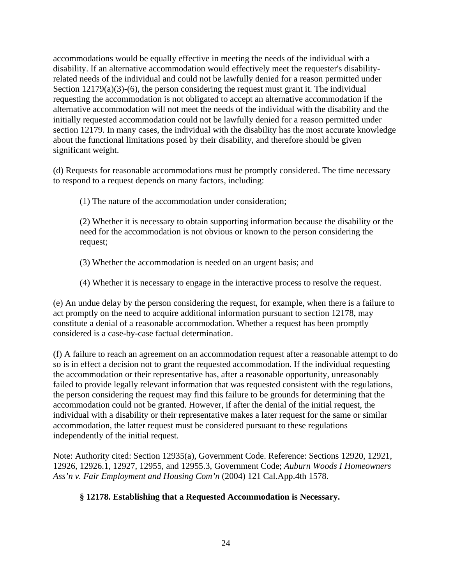accommodations would be equally effective in meeting the needs of the individual with a disability. If an alternative accommodation would effectively meet the requester's disabilityrelated needs of the individual and could not be lawfully denied for a reason permitted under Section  $12179(a)(3)-(6)$ , the person considering the request must grant it. The individual requesting the accommodation is not obligated to accept an alternative accommodation if the alternative accommodation will not meet the needs of the individual with the disability and the initially requested accommodation could not be lawfully denied for a reason permitted under section 12179. In many cases, the individual with the disability has the most accurate knowledge about the functional limitations posed by their disability, and therefore should be given significant weight.

(d) Requests for reasonable accommodations must be promptly considered. The time necessary to respond to a request depends on many factors, including:

(1) The nature of the accommodation under consideration;

(2) Whether it is necessary to obtain supporting information because the disability or the need for the accommodation is not obvious or known to the person considering the request;

- (3) Whether the accommodation is needed on an urgent basis; and
- (4) Whether it is necessary to engage in the interactive process to resolve the request.

(e) An undue delay by the person considering the request, for example, when there is a failure to act promptly on the need to acquire additional information pursuant to section 12178, may constitute a denial of a reasonable accommodation. Whether a request has been promptly considered is a case-by-case factual determination.

(f) A failure to reach an agreement on an accommodation request after a reasonable attempt to do so is in effect a decision not to grant the requested accommodation. If the individual requesting the accommodation or their representative has, after a reasonable opportunity, unreasonably failed to provide legally relevant information that was requested consistent with the regulations, the person considering the request may find this failure to be grounds for determining that the accommodation could not be granted. However, if after the denial of the initial request, the individual with a disability or their representative makes a later request for the same or similar accommodation, the latter request must be considered pursuant to these regulations independently of the initial request.

Note: Authority cited: Section 12935(a), Government Code. Reference: Sections 12920, 12921, 12926, 12926.1, 12927, 12955, and 12955.3, Government Code; *Auburn Woods I Homeowners Ass'n v. Fair Employment and Housing Com'n* (2004) 121 Cal.App.4th 1578.

#### **§ 12178. Establishing that a Requested Accommodation is Necessary.**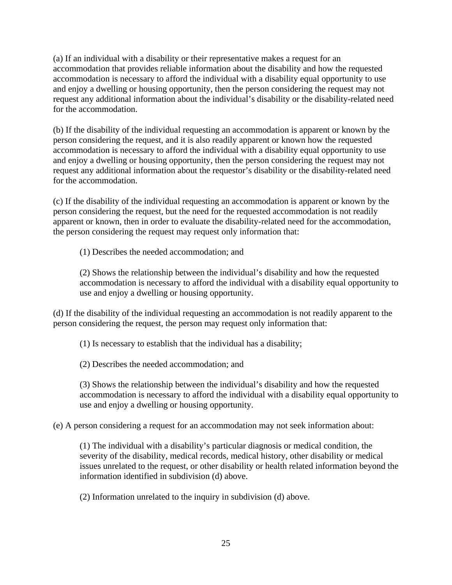(a) If an individual with a disability or their representative makes a request for an accommodation that provides reliable information about the disability and how the requested accommodation is necessary to afford the individual with a disability equal opportunity to use and enjoy a dwelling or housing opportunity, then the person considering the request may not request any additional information about the individual's disability or the disability-related need for the accommodation.

(b) If the disability of the individual requesting an accommodation is apparent or known by the person considering the request, and it is also readily apparent or known how the requested accommodation is necessary to afford the individual with a disability equal opportunity to use and enjoy a dwelling or housing opportunity, then the person considering the request may not request any additional information about the requestor's disability or the disability-related need for the accommodation.

(c) If the disability of the individual requesting an accommodation is apparent or known by the person considering the request, but the need for the requested accommodation is not readily apparent or known, then in order to evaluate the disability-related need for the accommodation, the person considering the request may request only information that:

(1) Describes the needed accommodation; and

(2) Shows the relationship between the individual's disability and how the requested accommodation is necessary to afford the individual with a disability equal opportunity to use and enjoy a dwelling or housing opportunity.

(d) If the disability of the individual requesting an accommodation is not readily apparent to the person considering the request, the person may request only information that:

(1) Is necessary to establish that the individual has a disability;

(2) Describes the needed accommodation; and

(3) Shows the relationship between the individual's disability and how the requested accommodation is necessary to afford the individual with a disability equal opportunity to use and enjoy a dwelling or housing opportunity.

(e) A person considering a request for an accommodation may not seek information about:

(1) The individual with a disability's particular diagnosis or medical condition, the severity of the disability, medical records, medical history, other disability or medical issues unrelated to the request, or other disability or health related information beyond the information identified in subdivision (d) above.

(2) Information unrelated to the inquiry in subdivision (d) above.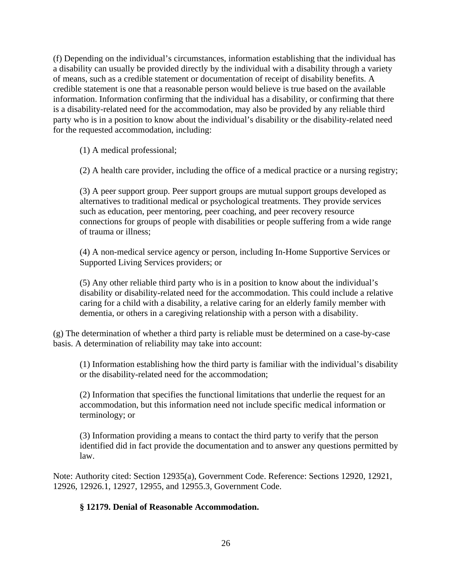(f) Depending on the individual's circumstances, information establishing that the individual has a disability can usually be provided directly by the individual with a disability through a variety of means, such as a credible statement or documentation of receipt of disability benefits. A credible statement is one that a reasonable person would believe is true based on the available information. Information confirming that the individual has a disability, or confirming that there is a disability-related need for the accommodation, may also be provided by any reliable third party who is in a position to know about the individual's disability or the disability-related need for the requested accommodation, including:

(1) A medical professional;

(2) A health care provider, including the office of a medical practice or a nursing registry;

(3) A peer support group. Peer support groups are mutual support groups developed as alternatives to traditional medical or psychological treatments. They provide services such as education, peer mentoring, peer coaching, and peer recovery resource connections for groups of people with disabilities or people suffering from a wide range of trauma or illness;

(4) A non-medical service agency or person, including In-Home Supportive Services or Supported Living Services providers; or

(5) Any other reliable third party who is in a position to know about the individual's disability or disability-related need for the accommodation. This could include a relative caring for a child with a disability, a relative caring for an elderly family member with dementia, or others in a caregiving relationship with a person with a disability.

(g) The determination of whether a third party is reliable must be determined on a case-by-case basis. A determination of reliability may take into account:

(1) Information establishing how the third party is familiar with the individual's disability or the disability-related need for the accommodation;

(2) Information that specifies the functional limitations that underlie the request for an accommodation, but this information need not include specific medical information or terminology; or

(3) Information providing a means to contact the third party to verify that the person identified did in fact provide the documentation and to answer any questions permitted by law.

Note: Authority cited: Section 12935(a), Government Code. Reference: Sections 12920, 12921, 12926, 12926.1, 12927, 12955, and 12955.3, Government Code.

#### **§ 12179. Denial of Reasonable Accommodation.**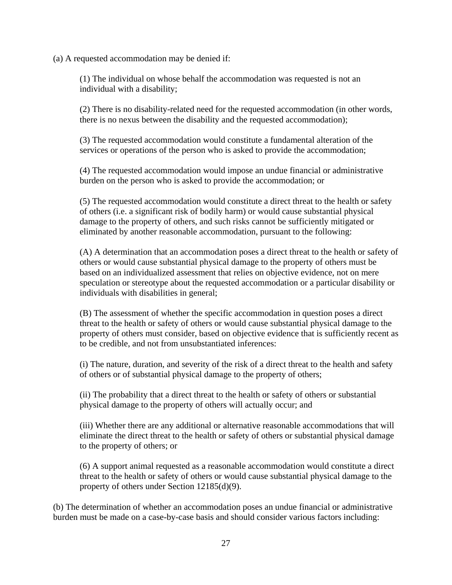(a) A requested accommodation may be denied if:

(1) The individual on whose behalf the accommodation was requested is not an individual with a disability;

(2) There is no disability-related need for the requested accommodation (in other words, there is no nexus between the disability and the requested accommodation);

(3) The requested accommodation would constitute a fundamental alteration of the services or operations of the person who is asked to provide the accommodation;

(4) The requested accommodation would impose an undue financial or administrative burden on the person who is asked to provide the accommodation; or

(5) The requested accommodation would constitute a direct threat to the health or safety of others (i.e. a significant risk of bodily harm) or would cause substantial physical damage to the property of others, and such risks cannot be sufficiently mitigated or eliminated by another reasonable accommodation, pursuant to the following:

(A) A determination that an accommodation poses a direct threat to the health or safety of others or would cause substantial physical damage to the property of others must be based on an individualized assessment that relies on objective evidence, not on mere speculation or stereotype about the requested accommodation or a particular disability or individuals with disabilities in general;

(B) The assessment of whether the specific accommodation in question poses a direct threat to the health or safety of others or would cause substantial physical damage to the property of others must consider, based on objective evidence that is sufficiently recent as to be credible, and not from unsubstantiated inferences:

(i) The nature, duration, and severity of the risk of a direct threat to the health and safety of others or of substantial physical damage to the property of others;

(ii) The probability that a direct threat to the health or safety of others or substantial physical damage to the property of others will actually occur; and

(iii) Whether there are any additional or alternative reasonable accommodations that will eliminate the direct threat to the health or safety of others or substantial physical damage to the property of others; or

(6) A support animal requested as a reasonable accommodation would constitute a direct threat to the health or safety of others or would cause substantial physical damage to the property of others under Section 12185(d)(9).

(b) The determination of whether an accommodation poses an undue financial or administrative burden must be made on a case-by-case basis and should consider various factors including: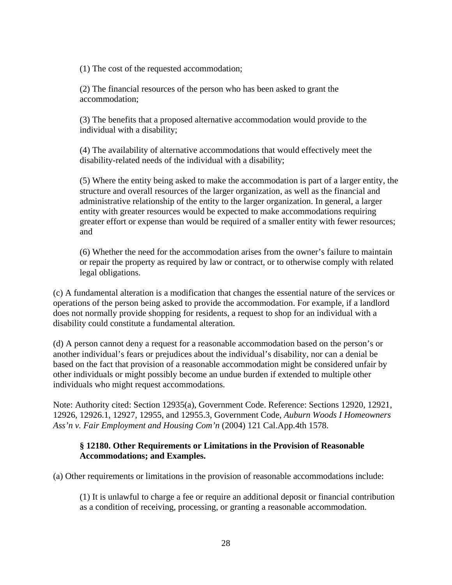(1) The cost of the requested accommodation;

(2) The financial resources of the person who has been asked to grant the accommodation;

(3) The benefits that a proposed alternative accommodation would provide to the individual with a disability;

(4) The availability of alternative accommodations that would effectively meet the disability-related needs of the individual with a disability;

(5) Where the entity being asked to make the accommodation is part of a larger entity, the structure and overall resources of the larger organization, as well as the financial and administrative relationship of the entity to the larger organization. In general, a larger entity with greater resources would be expected to make accommodations requiring greater effort or expense than would be required of a smaller entity with fewer resources; and

(6) Whether the need for the accommodation arises from the owner's failure to maintain or repair the property as required by law or contract, or to otherwise comply with related legal obligations.

(c) A fundamental alteration is a modification that changes the essential nature of the services or operations of the person being asked to provide the accommodation. For example, if a landlord does not normally provide shopping for residents, a request to shop for an individual with a disability could constitute a fundamental alteration.

(d) A person cannot deny a request for a reasonable accommodation based on the person's or another individual's fears or prejudices about the individual's disability, nor can a denial be based on the fact that provision of a reasonable accommodation might be considered unfair by other individuals or might possibly become an undue burden if extended to multiple other individuals who might request accommodations.

Note: Authority cited: Section 12935(a), Government Code. Reference: Sections 12920, 12921, 12926, 12926.1, 12927, 12955, and 12955.3, Government Code, *Auburn Woods I Homeowners Ass'n v. Fair Employment and Housing Com'n* (2004) 121 Cal.App.4th 1578.

#### **§ 12180. Other Requirements or Limitations in the Provision of Reasonable Accommodations; and Examples.**

(a) Other requirements or limitations in the provision of reasonable accommodations include:

(1) It is unlawful to charge a fee or require an additional deposit or financial contribution as a condition of receiving, processing, or granting a reasonable accommodation.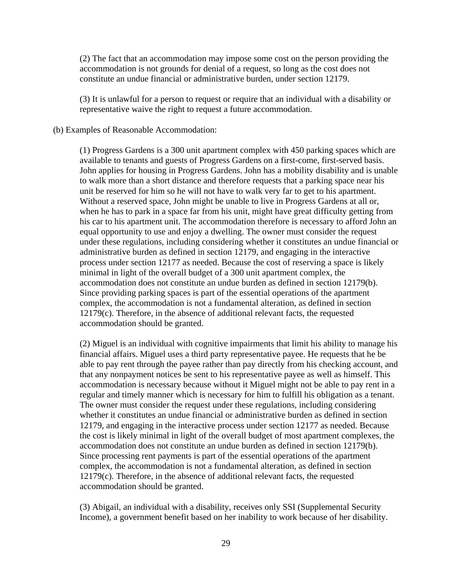(2) The fact that an accommodation may impose some cost on the person providing the accommodation is not grounds for denial of a request, so long as the cost does not constitute an undue financial or administrative burden, under section 12179.

(3) It is unlawful for a person to request or require that an individual with a disability or representative waive the right to request a future accommodation.

#### (b) Examples of Reasonable Accommodation:

(1) Progress Gardens is a 300 unit apartment complex with 450 parking spaces which are available to tenants and guests of Progress Gardens on a first-come, first-served basis. John applies for housing in Progress Gardens. John has a mobility disability and is unable to walk more than a short distance and therefore requests that a parking space near his unit be reserved for him so he will not have to walk very far to get to his apartment. Without a reserved space, John might be unable to live in Progress Gardens at all or, when he has to park in a space far from his unit, might have great difficulty getting from his car to his apartment unit. The accommodation therefore is necessary to afford John an equal opportunity to use and enjoy a dwelling. The owner must consider the request under these regulations, including considering whether it constitutes an undue financial or administrative burden as defined in section 12179, and engaging in the interactive process under section 12177 as needed. Because the cost of reserving a space is likely minimal in light of the overall budget of a 300 unit apartment complex, the accommodation does not constitute an undue burden as defined in section 12179(b). Since providing parking spaces is part of the essential operations of the apartment complex, the accommodation is not a fundamental alteration, as defined in section 12179(c). Therefore, in the absence of additional relevant facts, the requested accommodation should be granted.

(2) Miguel is an individual with cognitive impairments that limit his ability to manage his financial affairs. Miguel uses a third party representative payee. He requests that he be able to pay rent through the payee rather than pay directly from his checking account, and that any nonpayment notices be sent to his representative payee as well as himself. This accommodation is necessary because without it Miguel might not be able to pay rent in a regular and timely manner which is necessary for him to fulfill his obligation as a tenant. The owner must consider the request under these regulations, including considering whether it constitutes an undue financial or administrative burden as defined in section 12179, and engaging in the interactive process under section 12177 as needed. Because the cost is likely minimal in light of the overall budget of most apartment complexes, the accommodation does not constitute an undue burden as defined in section 12179(b). Since processing rent payments is part of the essential operations of the apartment complex, the accommodation is not a fundamental alteration, as defined in section 12179(c). Therefore, in the absence of additional relevant facts, the requested accommodation should be granted.

(3) Abigail, an individual with a disability, receives only SSI (Supplemental Security Income), a government benefit based on her inability to work because of her disability.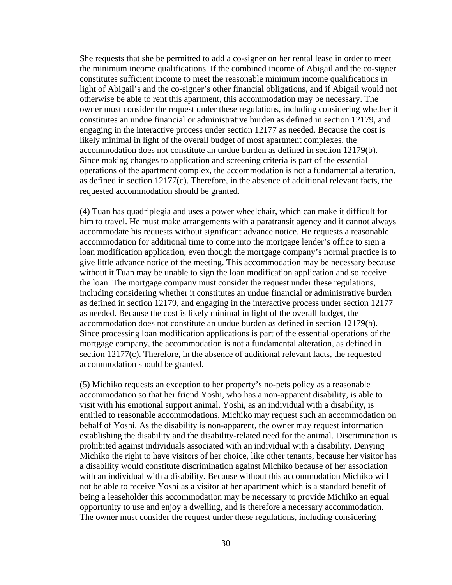She requests that she be permitted to add a co-signer on her rental lease in order to meet the minimum income qualifications. If the combined income of Abigail and the co-signer constitutes sufficient income to meet the reasonable minimum income qualifications in light of Abigail's and the co-signer's other financial obligations, and if Abigail would not otherwise be able to rent this apartment, this accommodation may be necessary. The owner must consider the request under these regulations, including considering whether it constitutes an undue financial or administrative burden as defined in section 12179, and engaging in the interactive process under section 12177 as needed. Because the cost is likely minimal in light of the overall budget of most apartment complexes, the accommodation does not constitute an undue burden as defined in section 12179(b). Since making changes to application and screening criteria is part of the essential operations of the apartment complex, the accommodation is not a fundamental alteration, as defined in section 12177(c). Therefore, in the absence of additional relevant facts, the requested accommodation should be granted.

(4) Tuan has quadriplegia and uses a power wheelchair, which can make it difficult for him to travel. He must make arrangements with a paratransit agency and it cannot always accommodate his requests without significant advance notice. He requests a reasonable accommodation for additional time to come into the mortgage lender's office to sign a loan modification application, even though the mortgage company's normal practice is to give little advance notice of the meeting. This accommodation may be necessary because without it Tuan may be unable to sign the loan modification application and so receive the loan. The mortgage company must consider the request under these regulations, including considering whether it constitutes an undue financial or administrative burden as defined in section 12179, and engaging in the interactive process under section 12177 as needed. Because the cost is likely minimal in light of the overall budget, the accommodation does not constitute an undue burden as defined in section 12179(b). Since processing loan modification applications is part of the essential operations of the mortgage company, the accommodation is not a fundamental alteration, as defined in section 12177(c). Therefore, in the absence of additional relevant facts, the requested accommodation should be granted.

(5) Michiko requests an exception to her property's no-pets policy as a reasonable accommodation so that her friend Yoshi, who has a non-apparent disability, is able to visit with his emotional support animal. Yoshi, as an individual with a disability, is entitled to reasonable accommodations. Michiko may request such an accommodation on behalf of Yoshi. As the disability is non-apparent, the owner may request information establishing the disability and the disability-related need for the animal. Discrimination is prohibited against individuals associated with an individual with a disability. Denying Michiko the right to have visitors of her choice, like other tenants, because her visitor has a disability would constitute discrimination against Michiko because of her association with an individual with a disability. Because without this accommodation Michiko will not be able to receive Yoshi as a visitor at her apartment which is a standard benefit of being a leaseholder this accommodation may be necessary to provide Michiko an equal opportunity to use and enjoy a dwelling, and is therefore a necessary accommodation. The owner must consider the request under these regulations, including considering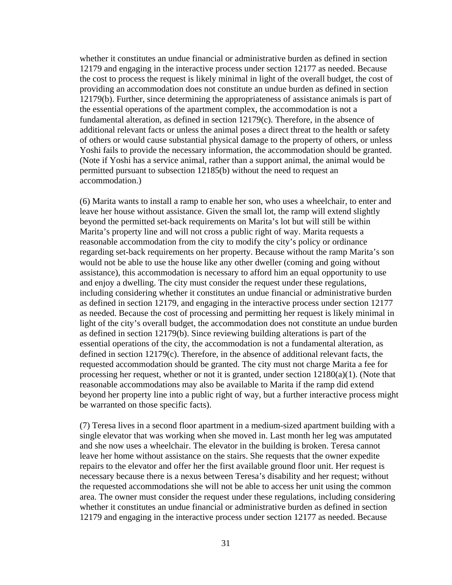whether it constitutes an undue financial or administrative burden as defined in section 12179 and engaging in the interactive process under section 12177 as needed. Because the cost to process the request is likely minimal in light of the overall budget, the cost of providing an accommodation does not constitute an undue burden as defined in section 12179(b). Further, since determining the appropriateness of assistance animals is part of the essential operations of the apartment complex, the accommodation is not a fundamental alteration, as defined in section 12179(c). Therefore, in the absence of additional relevant facts or unless the animal poses a direct threat to the health or safety of others or would cause substantial physical damage to the property of others, or unless Yoshi fails to provide the necessary information, the accommodation should be granted. (Note if Yoshi has a service animal, rather than a support animal, the animal would be permitted pursuant to subsection 12185(b) without the need to request an accommodation.)

(6) Marita wants to install a ramp to enable her son, who uses a wheelchair, to enter and leave her house without assistance. Given the small lot, the ramp will extend slightly beyond the permitted set-back requirements on Marita's lot but will still be within Marita's property line and will not cross a public right of way. Marita requests a reasonable accommodation from the city to modify the city's policy or ordinance regarding set-back requirements on her property. Because without the ramp Marita's son would not be able to use the house like any other dweller (coming and going without assistance), this accommodation is necessary to afford him an equal opportunity to use and enjoy a dwelling. The city must consider the request under these regulations, including considering whether it constitutes an undue financial or administrative burden as defined in section 12179, and engaging in the interactive process under section 12177 as needed. Because the cost of processing and permitting her request is likely minimal in light of the city's overall budget, the accommodation does not constitute an undue burden as defined in section 12179(b). Since reviewing building alterations is part of the essential operations of the city, the accommodation is not a fundamental alteration, as defined in section 12179(c). Therefore, in the absence of additional relevant facts, the requested accommodation should be granted. The city must not charge Marita a fee for processing her request, whether or not it is granted, under section  $12180(a)(1)$ . (Note that reasonable accommodations may also be available to Marita if the ramp did extend beyond her property line into a public right of way, but a further interactive process might be warranted on those specific facts).

(7) Teresa lives in a second floor apartment in a medium-sized apartment building with a single elevator that was working when she moved in. Last month her leg was amputated and she now uses a wheelchair. The elevator in the building is broken. Teresa cannot leave her home without assistance on the stairs. She requests that the owner expedite repairs to the elevator and offer her the first available ground floor unit. Her request is necessary because there is a nexus between Teresa's disability and her request; without the requested accommodations she will not be able to access her unit using the common area. The owner must consider the request under these regulations, including considering whether it constitutes an undue financial or administrative burden as defined in section 12179 and engaging in the interactive process under section 12177 as needed. Because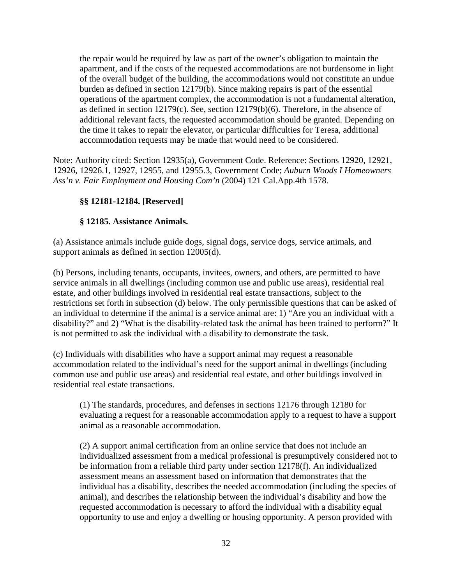the repair would be required by law as part of the owner's obligation to maintain the apartment, and if the costs of the requested accommodations are not burdensome in light of the overall budget of the building, the accommodations would not constitute an undue burden as defined in section 12179(b). Since making repairs is part of the essential operations of the apartment complex, the accommodation is not a fundamental alteration, as defined in section 12179(c). See, section 12179(b)(6). Therefore, in the absence of additional relevant facts, the requested accommodation should be granted. Depending on the time it takes to repair the elevator, or particular difficulties for Teresa, additional accommodation requests may be made that would need to be considered.

Note: Authority cited: Section 12935(a), Government Code. Reference: Sections 12920, 12921, 12926, 12926.1, 12927, 12955, and 12955.3, Government Code; *Auburn Woods I Homeowners Ass'n v. Fair Employment and Housing Com'n* (2004) 121 Cal.App.4th 1578.

#### **§§ 12181-12184. [Reserved]**

#### **§ 12185. Assistance Animals.**

(a) Assistance animals include guide dogs, signal dogs, service dogs, service animals, and support animals as defined in section 12005(d).

(b) Persons, including tenants, occupants, invitees, owners, and others, are permitted to have service animals in all dwellings (including common use and public use areas), residential real estate, and other buildings involved in residential real estate transactions, subject to the restrictions set forth in subsection (d) below. The only permissible questions that can be asked of an individual to determine if the animal is a service animal are: 1) "Are you an individual with a disability?" and 2) "What is the disability-related task the animal has been trained to perform?" It is not permitted to ask the individual with a disability to demonstrate the task.

(c) Individuals with disabilities who have a support animal may request a reasonable accommodation related to the individual's need for the support animal in dwellings (including common use and public use areas) and residential real estate, and other buildings involved in residential real estate transactions.

(1) The standards, procedures, and defenses in sections 12176 through 12180 for evaluating a request for a reasonable accommodation apply to a request to have a support animal as a reasonable accommodation.

(2) A support animal certification from an online service that does not include an individualized assessment from a medical professional is presumptively considered not to be information from a reliable third party under section 12178(f). An individualized assessment means an assessment based on information that demonstrates that the individual has a disability, describes the needed accommodation (including the species of animal), and describes the relationship between the individual's disability and how the requested accommodation is necessary to afford the individual with a disability equal opportunity to use and enjoy a dwelling or housing opportunity. A person provided with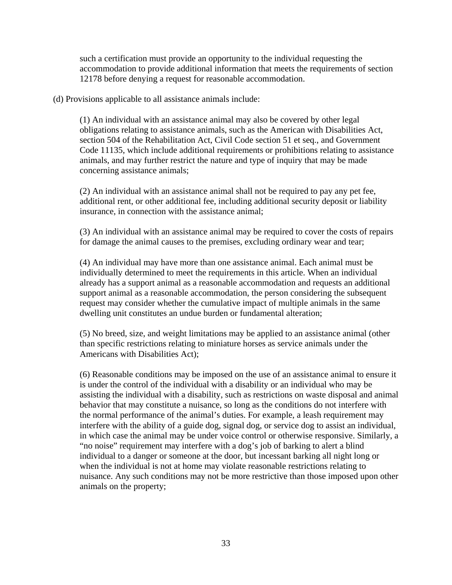such a certification must provide an opportunity to the individual requesting the accommodation to provide additional information that meets the requirements of section 12178 before denying a request for reasonable accommodation.

(d) Provisions applicable to all assistance animals include:

(1) An individual with an assistance animal may also be covered by other legal obligations relating to assistance animals, such as the American with Disabilities Act, section 504 of the Rehabilitation Act, Civil Code section 51 et seq., and Government Code 11135, which include additional requirements or prohibitions relating to assistance animals, and may further restrict the nature and type of inquiry that may be made concerning assistance animals;

(2) An individual with an assistance animal shall not be required to pay any pet fee, additional rent, or other additional fee, including additional security deposit or liability insurance, in connection with the assistance animal;

(3) An individual with an assistance animal may be required to cover the costs of repairs for damage the animal causes to the premises, excluding ordinary wear and tear;

(4) An individual may have more than one assistance animal. Each animal must be individually determined to meet the requirements in this article. When an individual already has a support animal as a reasonable accommodation and requests an additional support animal as a reasonable accommodation, the person considering the subsequent request may consider whether the cumulative impact of multiple animals in the same dwelling unit constitutes an undue burden or fundamental alteration;

(5) No breed, size, and weight limitations may be applied to an assistance animal (other than specific restrictions relating to miniature horses as service animals under the Americans with Disabilities Act);

(6) Reasonable conditions may be imposed on the use of an assistance animal to ensure it is under the control of the individual with a disability or an individual who may be assisting the individual with a disability, such as restrictions on waste disposal and animal behavior that may constitute a nuisance, so long as the conditions do not interfere with the normal performance of the animal's duties. For example, a leash requirement may interfere with the ability of a guide dog, signal dog, or service dog to assist an individual, in which case the animal may be under voice control or otherwise responsive. Similarly, a "no noise" requirement may interfere with a dog's job of barking to alert a blind individual to a danger or someone at the door, but incessant barking all night long or when the individual is not at home may violate reasonable restrictions relating to nuisance. Any such conditions may not be more restrictive than those imposed upon other animals on the property;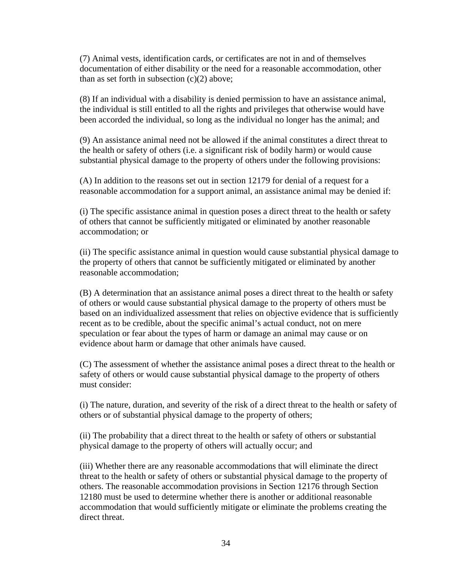(7) Animal vests, identification cards, or certificates are not in and of themselves documentation of either disability or the need for a reasonable accommodation, other than as set forth in subsection  $(c)(2)$  above;

(8) If an individual with a disability is denied permission to have an assistance animal, the individual is still entitled to all the rights and privileges that otherwise would have been accorded the individual, so long as the individual no longer has the animal; and

(9) An assistance animal need not be allowed if the animal constitutes a direct threat to the health or safety of others (i.e. a significant risk of bodily harm) or would cause substantial physical damage to the property of others under the following provisions:

(A) In addition to the reasons set out in section 12179 for denial of a request for a reasonable accommodation for a support animal, an assistance animal may be denied if:

(i) The specific assistance animal in question poses a direct threat to the health or safety of others that cannot be sufficiently mitigated or eliminated by another reasonable accommodation; or

(ii) The specific assistance animal in question would cause substantial physical damage to the property of others that cannot be sufficiently mitigated or eliminated by another reasonable accommodation;

(B) A determination that an assistance animal poses a direct threat to the health or safety of others or would cause substantial physical damage to the property of others must be based on an individualized assessment that relies on objective evidence that is sufficiently recent as to be credible, about the specific animal's actual conduct, not on mere speculation or fear about the types of harm or damage an animal may cause or on evidence about harm or damage that other animals have caused.

(C) The assessment of whether the assistance animal poses a direct threat to the health or safety of others or would cause substantial physical damage to the property of others must consider:

(i) The nature, duration, and severity of the risk of a direct threat to the health or safety of others or of substantial physical damage to the property of others;

(ii) The probability that a direct threat to the health or safety of others or substantial physical damage to the property of others will actually occur; and

(iii) Whether there are any reasonable accommodations that will eliminate the direct threat to the health or safety of others or substantial physical damage to the property of others. The reasonable accommodation provisions in Section 12176 through Section 12180 must be used to determine whether there is another or additional reasonable accommodation that would sufficiently mitigate or eliminate the problems creating the direct threat.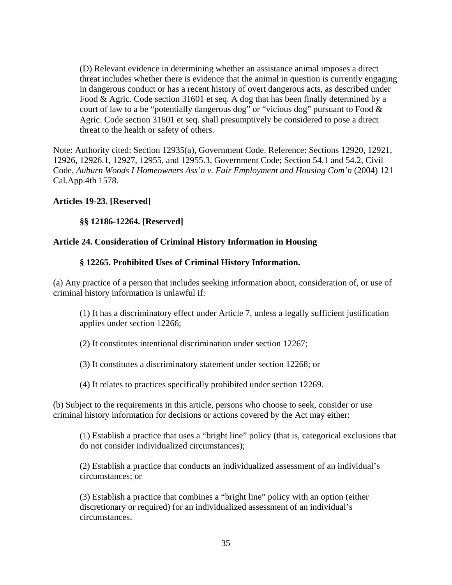(D) Relevant evidence in determining whether an assistance animal imposes a direct threat includes whether there is evidence that the animal in question is currently engaging in dangerous conduct or has a recent history of overt dangerous acts, as described under Food & Agric. Code section 31601 et seq. A dog that has been finally determined by a court of law to a be "potentially dangerous dog" or "vicious dog" pursuant to Food & Agric. Code section 31601 et seq. shall presumptively be considered to pose a direct threat to the health or safety of others.

Note: Authority cited: Section 12935(a), Government Code. Reference: Sections 12920, 12921, 12926, 12926.1, 12927, 12955, and 12955.3, Government Code; Section 54.1 and 54.2, Civil Code, *Auburn Woods I Homeowners Ass'n v. Fair Employment and Housing Com'n* (2004) 121 Cal.App.4th 1578.

#### **Articles 19-23. [Reserved]**

#### **§§ 12186-12264. [Reserved]**

#### **Article 24. Consideration of Criminal History Information in Housing**

#### **§ 12265. Prohibited Uses of Criminal History Information.**

(a) Any practice of a person that includes seeking information about, consideration of, or use of criminal history information is unlawful if:

(1) It has a discriminatory effect under Article 7, unless a legally sufficient justification applies under section 12266;

(2) It constitutes intentional discrimination under section 12267;

(3) It constitutes a discriminatory statement under section 12268; or

(4) It relates to practices specifically prohibited under section 12269.

(b) Subject to the requirements in this article, persons who choose to seek, consider or use criminal history information for decisions or actions covered by the Act may either:

(1) Establish a practice that uses a "bright line" policy (that is, categorical exclusions that do not consider individualized circumstances);

(2) Establish a practice that conducts an individualized assessment of an individual's circumstances; or

(3) Establish a practice that combines a "bright line" policy with an option (either discretionary or required) for an individualized assessment of an individual's circumstances.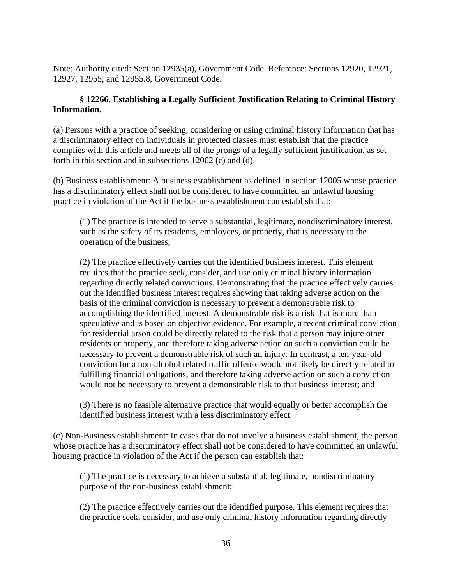Note: Authority cited: Section 12935(a), Government Code. Reference: Sections 12920, 12921, 12927, 12955, and 12955.8, Government Code.

# **§ 12266. Establishing a Legally Sufficient Justification Relating to Criminal History Information.**

(a) Persons with a practice of seeking, considering or using criminal history information that has a discriminatory effect on individuals in protected classes must establish that the practice complies with this article and meets all of the prongs of a legally sufficient justification, as set forth in this section and in subsections 12062 (c) and (d).

(b) Business establishment: A business establishment as defined in section 12005 whose practice has a discriminatory effect shall not be considered to have committed an unlawful housing practice in violation of the Act if the business establishment can establish that:

(1) The practice is intended to serve a substantial, legitimate, nondiscriminatory interest, such as the safety of its residents, employees, or property, that is necessary to the operation of the business;

(2) The practice effectively carries out the identified business interest. This element requires that the practice seek, consider, and use only criminal history information regarding directly related convictions. Demonstrating that the practice effectively carries out the identified business interest requires showing that taking adverse action on the basis of the criminal conviction is necessary to prevent a demonstrable risk to accomplishing the identified interest. A demonstrable risk is a risk that is more than speculative and is based on objective evidence. For example, a recent criminal conviction for residential arson could be directly related to the risk that a person may injure other residents or property, and therefore taking adverse action on such a conviction could be necessary to prevent a demonstrable risk of such an injury. In contrast, a ten-year-old conviction for a non-alcohol related traffic offense would not likely be directly related to fulfilling financial obligations, and therefore taking adverse action on such a conviction would not be necessary to prevent a demonstrable risk to that business interest; and

(3) There is no feasible alternative practice that would equally or better accomplish the identified business interest with a less discriminatory effect.

(c) Non-Business establishment: In cases that do not involve a business establishment, the person whose practice has a discriminatory effect shall not be considered to have committed an unlawful housing practice in violation of the Act if the person can establish that:

(1) The practice is necessary to achieve a substantial, legitimate, nondiscriminatory purpose of the non-business establishment;

(2) The practice effectively carries out the identified purpose. This element requires that the practice seek, consider, and use only criminal history information regarding directly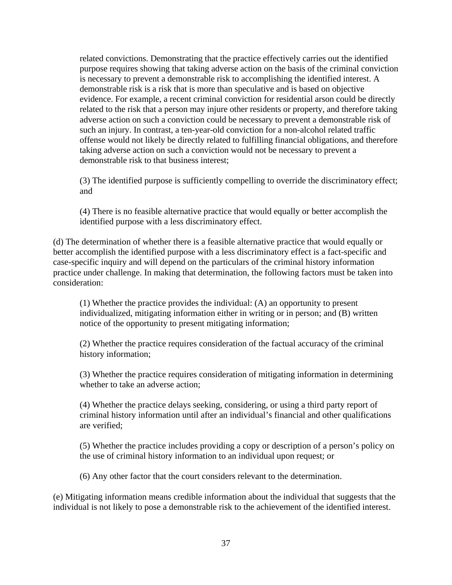related convictions. Demonstrating that the practice effectively carries out the identified purpose requires showing that taking adverse action on the basis of the criminal conviction is necessary to prevent a demonstrable risk to accomplishing the identified interest. A demonstrable risk is a risk that is more than speculative and is based on objective evidence. For example, a recent criminal conviction for residential arson could be directly related to the risk that a person may injure other residents or property, and therefore taking adverse action on such a conviction could be necessary to prevent a demonstrable risk of such an injury. In contrast, a ten-year-old conviction for a non-alcohol related traffic offense would not likely be directly related to fulfilling financial obligations, and therefore taking adverse action on such a conviction would not be necessary to prevent a demonstrable risk to that business interest;

(3) The identified purpose is sufficiently compelling to override the discriminatory effect; and

(4) There is no feasible alternative practice that would equally or better accomplish the identified purpose with a less discriminatory effect.

(d) The determination of whether there is a feasible alternative practice that would equally or better accomplish the identified purpose with a less discriminatory effect is a fact-specific and case-specific inquiry and will depend on the particulars of the criminal history information practice under challenge. In making that determination, the following factors must be taken into consideration:

(1) Whether the practice provides the individual: (A) an opportunity to present individualized, mitigating information either in writing or in person; and (B) written notice of the opportunity to present mitigating information;

(2) Whether the practice requires consideration of the factual accuracy of the criminal history information;

(3) Whether the practice requires consideration of mitigating information in determining whether to take an adverse action;

(4) Whether the practice delays seeking, considering, or using a third party report of criminal history information until after an individual's financial and other qualifications are verified;

(5) Whether the practice includes providing a copy or description of a person's policy on the use of criminal history information to an individual upon request; or

(6) Any other factor that the court considers relevant to the determination.

(e) Mitigating information means credible information about the individual that suggests that the individual is not likely to pose a demonstrable risk to the achievement of the identified interest.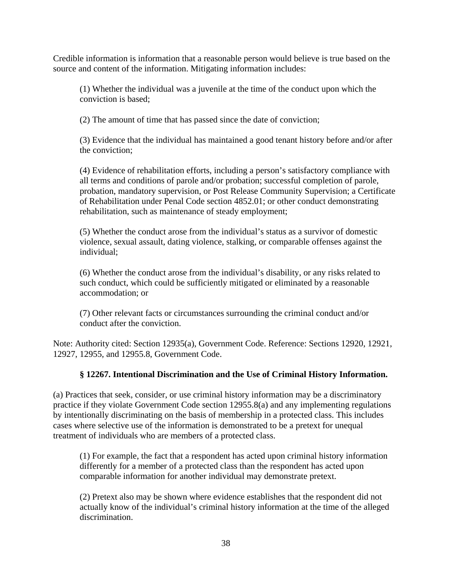Credible information is information that a reasonable person would believe is true based on the source and content of the information. Mitigating information includes:

(1) Whether the individual was a juvenile at the time of the conduct upon which the conviction is based;

(2) The amount of time that has passed since the date of conviction;

(3) Evidence that the individual has maintained a good tenant history before and/or after the conviction;

(4) Evidence of rehabilitation efforts, including a person's satisfactory compliance with all terms and conditions of parole and/or probation; successful completion of parole, probation, mandatory supervision, or Post Release Community Supervision; a Certificate of Rehabilitation under Penal Code section 4852.01; or other conduct demonstrating rehabilitation, such as maintenance of steady employment;

(5) Whether the conduct arose from the individual's status as a survivor of domestic violence, sexual assault, dating violence, stalking, or comparable offenses against the individual;

(6) Whether the conduct arose from the individual's disability, or any risks related to such conduct, which could be sufficiently mitigated or eliminated by a reasonable accommodation; or

(7) Other relevant facts or circumstances surrounding the criminal conduct and/or conduct after the conviction.

Note: Authority cited: Section 12935(a), Government Code. Reference: Sections 12920, 12921, 12927, 12955, and 12955.8, Government Code.

# **§ 12267. Intentional Discrimination and the Use of Criminal History Information.**

(a) Practices that seek, consider, or use criminal history information may be a discriminatory practice if they violate Government Code section 12955.8(a) and any implementing regulations by intentionally discriminating on the basis of membership in a protected class. This includes cases where selective use of the information is demonstrated to be a pretext for unequal treatment of individuals who are members of a protected class.

(1) For example, the fact that a respondent has acted upon criminal history information differently for a member of a protected class than the respondent has acted upon comparable information for another individual may demonstrate pretext.

(2) Pretext also may be shown where evidence establishes that the respondent did not actually know of the individual's criminal history information at the time of the alleged discrimination.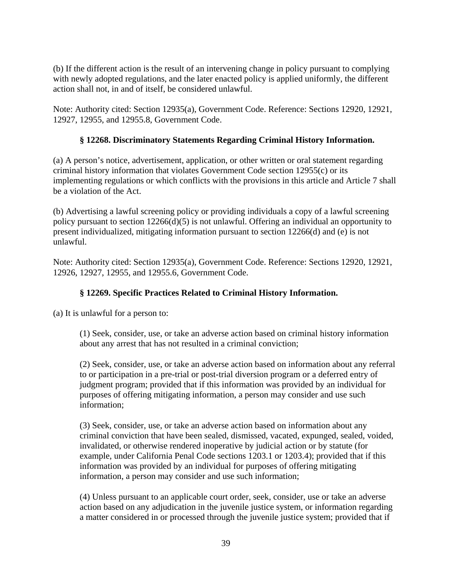(b) If the different action is the result of an intervening change in policy pursuant to complying with newly adopted regulations, and the later enacted policy is applied uniformly, the different action shall not, in and of itself, be considered unlawful.

Note: Authority cited: Section 12935(a), Government Code. Reference: Sections 12920, 12921, 12927, 12955, and 12955.8, Government Code.

# **§ 12268. Discriminatory Statements Regarding Criminal History Information.**

(a) A person's notice, advertisement, application, or other written or oral statement regarding criminal history information that violates Government Code section 12955(c) or its implementing regulations or which conflicts with the provisions in this article and Article 7 shall be a violation of the Act.

(b) Advertising a lawful screening policy or providing individuals a copy of a lawful screening policy pursuant to section 12266(d)(5) is not unlawful. Offering an individual an opportunity to present individualized, mitigating information pursuant to section 12266(d) and (e) is not unlawful.

Note: Authority cited: Section 12935(a), Government Code. Reference: Sections 12920, 12921, 12926, 12927, 12955, and 12955.6, Government Code.

# **§ 12269. Specific Practices Related to Criminal History Information.**

(a) It is unlawful for a person to:

(1) Seek, consider, use, or take an adverse action based on criminal history information about any arrest that has not resulted in a criminal conviction;

(2) Seek, consider, use, or take an adverse action based on information about any referral to or participation in a pre-trial or post-trial diversion program or a deferred entry of judgment program; provided that if this information was provided by an individual for purposes of offering mitigating information, a person may consider and use such information;

(3) Seek, consider, use, or take an adverse action based on information about any criminal conviction that have been sealed, dismissed, vacated, expunged, sealed, voided, invalidated, or otherwise rendered inoperative by judicial action or by statute (for example, under California Penal Code sections 1203.1 or 1203.4); provided that if this information was provided by an individual for purposes of offering mitigating information, a person may consider and use such information;

(4) Unless pursuant to an applicable court order, seek, consider, use or take an adverse action based on any adjudication in the juvenile justice system, or information regarding a matter considered in or processed through the juvenile justice system; provided that if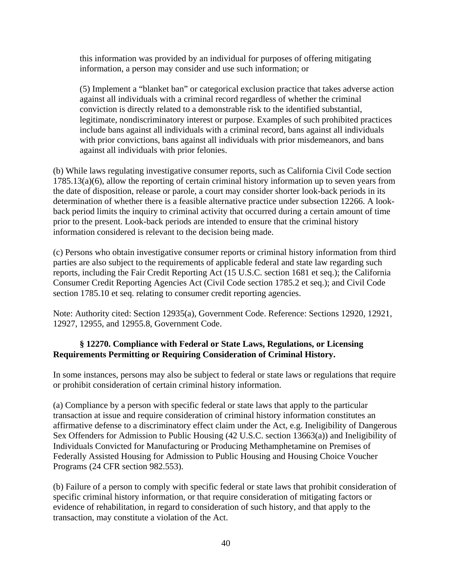this information was provided by an individual for purposes of offering mitigating information, a person may consider and use such information; or

(5) Implement a "blanket ban" or categorical exclusion practice that takes adverse action against all individuals with a criminal record regardless of whether the criminal conviction is directly related to a demonstrable risk to the identified substantial, legitimate, nondiscriminatory interest or purpose. Examples of such prohibited practices include bans against all individuals with a criminal record, bans against all individuals with prior convictions, bans against all individuals with prior misdemeanors, and bans against all individuals with prior felonies.

(b) While laws regulating investigative consumer reports, such as California Civil Code section 1785.13(a)(6), allow the reporting of certain criminal history information up to seven years from the date of disposition, release or parole, a court may consider shorter look-back periods in its determination of whether there is a feasible alternative practice under subsection 12266. A lookback period limits the inquiry to criminal activity that occurred during a certain amount of time prior to the present. Look-back periods are intended to ensure that the criminal history information considered is relevant to the decision being made.

(c) Persons who obtain investigative consumer reports or criminal history information from third parties are also subject to the requirements of applicable federal and state law regarding such reports, including the Fair Credit Reporting Act (15 U.S.C. section 1681 et seq.); the California Consumer Credit Reporting Agencies Act (Civil Code section 1785.2 et seq.); and Civil Code section 1785.10 et seq. relating to consumer credit reporting agencies.

Note: Authority cited: Section 12935(a), Government Code. Reference: Sections 12920, 12921, 12927, 12955, and 12955.8, Government Code.

#### **§ 12270. Compliance with Federal or State Laws, Regulations, or Licensing Requirements Permitting or Requiring Consideration of Criminal History.**

In some instances, persons may also be subject to federal or state laws or regulations that require or prohibit consideration of certain criminal history information.

(a) Compliance by a person with specific federal or state laws that apply to the particular transaction at issue and require consideration of criminal history information constitutes an affirmative defense to a discriminatory effect claim under the Act, e.g. Ineligibility of Dangerous Sex Offenders for Admission to Public Housing (42 U.S.C. section 13663(a)) and Ineligibility of Individuals Convicted for Manufacturing or Producing Methamphetamine on Premises of Federally Assisted Housing for Admission to Public Housing and Housing Choice Voucher Programs (24 CFR section 982.553).

(b) Failure of a person to comply with specific federal or state laws that prohibit consideration of specific criminal history information, or that require consideration of mitigating factors or evidence of rehabilitation, in regard to consideration of such history, and that apply to the transaction, may constitute a violation of the Act.